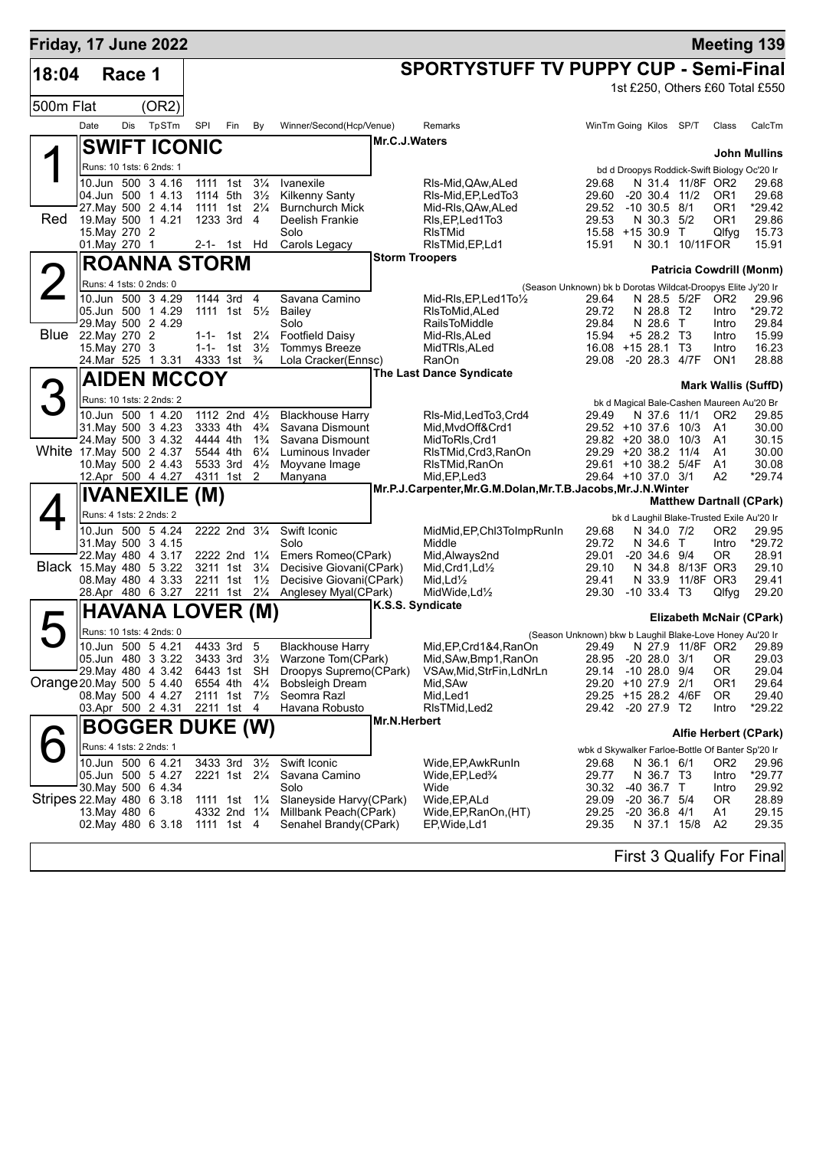| Friday, 17 June 2022      |                                                |        |                                          |                           |                                        |                                  |                                                    |                       |                                                                   |                                                                       |                              |                                      |                                                              | <b>Meeting 139</b>              |
|---------------------------|------------------------------------------------|--------|------------------------------------------|---------------------------|----------------------------------------|----------------------------------|----------------------------------------------------|-----------------------|-------------------------------------------------------------------|-----------------------------------------------------------------------|------------------------------|--------------------------------------|--------------------------------------------------------------|---------------------------------|
| 18:04                     |                                                | Race 1 |                                          |                           |                                        |                                  |                                                    |                       | <b>SPORTYSTUFF TV PUPPY CUP - Semi-Final</b>                      |                                                                       |                              |                                      |                                                              |                                 |
|                           |                                                |        |                                          |                           |                                        |                                  |                                                    |                       |                                                                   |                                                                       |                              |                                      |                                                              | 1st £250, Others £60 Total £550 |
| 500m Flat                 |                                                |        | (OR2)                                    |                           |                                        |                                  |                                                    |                       |                                                                   |                                                                       |                              |                                      |                                                              |                                 |
|                           | Date                                           | Dis    | TpSTm                                    | SPI                       | Fin                                    | By                               | Winner/Second(Hcp/Venue)                           |                       | Remarks                                                           | WinTm Going Kilos SP/T                                                |                              |                                      | Class                                                        | CalcTm                          |
|                           |                                                |        | <b>SWIFT ICONIC</b>                      |                           |                                        |                                  |                                                    | Mr.C.J.Waters         |                                                                   |                                                                       |                              |                                      |                                                              | <b>John Mullins</b>             |
|                           |                                                |        | Runs: 10 1sts: 6 2nds: 1                 |                           |                                        |                                  |                                                    |                       |                                                                   |                                                                       |                              |                                      | bd d Droopys Roddick-Swift Biology Oc'20 Ir                  |                                 |
|                           |                                                |        | 10.Jun 500 3 4.16                        | 1111 1st                  |                                        | $3\frac{1}{4}$                   | Ivanexile                                          |                       | RIs-Mid, QAw, ALed                                                | 29.68                                                                 |                              | N 31.4 11/8F OR2                     |                                                              | 29.68                           |
|                           |                                                |        | 04.Jun 500 1 4.13<br>27. May 500 2 4.14  | 1114 5th<br>1111 1st      |                                        | $3\frac{1}{2}$<br>$2\frac{1}{4}$ | <b>Kilkenny Santy</b><br><b>Burnchurch Mick</b>    |                       | RIs-Mid, EP, Led To 3<br>Mid-RIs, QAw, ALed                       | 29.60<br>29.52                                                        | $-10$ 30.5 $8/1$             | $-20$ 30.4 11/2                      | OR <sub>1</sub><br>OR <sub>1</sub>                           | 29.68<br>$*29.42$               |
| Red                       |                                                |        | 19. May 500 1 4.21                       | 1233 3rd                  |                                        | 4                                | Deelish Frankie                                    |                       | RIs, EP, Led 1 To 3                                               | 29.53                                                                 | N 30.3 5/2                   |                                      | OR <sub>1</sub>                                              | 29.86                           |
|                           | 15. May 270 2                                  |        |                                          |                           |                                        |                                  | Solo                                               |                       | <b>RIsTMid</b>                                                    | 15.58 +15 30.9                                                        |                              | $\top$                               | Qlfyg                                                        | 15.73                           |
|                           | 01. May 270 1                                  |        |                                          |                           | 2-1- 1st Hd                            |                                  | Carols Legacy                                      | <b>Storm Troopers</b> | RIsTMid, EP, Ld1                                                  | 15.91                                                                 |                              | N 30.1 10/11FOR                      |                                                              | 15.91                           |
|                           | <b>ROANNA STORM</b><br>Runs: 4 1sts: 0 2nds: 0 |        |                                          |                           |                                        |                                  |                                                    |                       |                                                                   |                                                                       |                              |                                      |                                                              | <b>Patricia Cowdrill (Monm)</b> |
|                           |                                                |        | 10.Jun 500 3 4.29                        | 1144 3rd                  |                                        | $\overline{4}$                   | Savana Camino                                      |                       | Mid-RIs, EP, Led 1 To 1/2                                         | (Season Unknown) bk b Dorotas Wildcat-Droopys Elite Jy'20 Ir<br>29.64 |                              | N 28.5 5/2F                          | OR <sub>2</sub>                                              | 29.96                           |
|                           |                                                |        | 05.Jun 500 1 4.29                        |                           | 1111 1st $5\frac{1}{2}$                |                                  | Bailey                                             |                       | RIsToMid, ALed                                                    | 29.72                                                                 | N 28.8 T2                    |                                      | Intro                                                        | *29.72                          |
| Blue                      | 22. May 270 2                                  |        | 29. May 500 2 4.29                       |                           | 1-1- 1st $2\frac{1}{4}$                |                                  | Solo<br><b>Footfield Daisy</b>                     |                       | <b>RailsToMiddle</b><br>Mid-RIs, ALed                             | 29.84<br>15.94                                                        | N 28.6 T<br>+5 28.2 T3       |                                      | Intro<br>Intro                                               | 29.84<br>15.99                  |
|                           | 15. May 270 3                                  |        |                                          |                           | 1-1- 1st $3\frac{1}{2}$                |                                  | <b>Tommys Breeze</b>                               |                       | MidTRIs, ALed                                                     | 16.08 +15 28.1                                                        |                              | T3                                   | Intro                                                        | 16.23                           |
|                           |                                                |        | 24. Mar 525 1 3.31                       |                           | 4333 1st                               | $\frac{3}{4}$                    | Lola Cracker(Ennsc)                                |                       | RanOn                                                             | 29.08                                                                 |                              | -20 28.3 4/7F                        | ON <sub>1</sub>                                              | 28.88                           |
|                           |                                                |        | <b>AIDEN MCCOY</b>                       |                           |                                        |                                  |                                                    |                       | <b>The Last Dance Syndicate</b>                                   |                                                                       |                              |                                      |                                                              | <b>Mark Wallis (SuffD)</b>      |
|                           |                                                |        | Runs: 10 1sts: 2 2nds: 2                 |                           |                                        |                                  |                                                    |                       |                                                                   |                                                                       |                              |                                      | bk d Magical Bale-Cashen Maureen Au'20 Br                    |                                 |
|                           |                                                |        | 10.Jun 500 1 4.20                        | 1112 2nd 41/2             |                                        |                                  | <b>Blackhouse Harry</b>                            |                       | RIs-Mid.LedTo3.Crd4                                               | 29.49                                                                 | N 37.6 11/1                  |                                      | OR <sub>2</sub>                                              | 29.85                           |
|                           |                                                |        | 31. May 500 3 4.23<br>24. May 500 3 4.32 | 3333 4th<br>4444 4th      |                                        | $4\frac{3}{4}$<br>$1\frac{3}{4}$ | Savana Dismount<br>Savana Dismount                 |                       | Mid.MvdOff&Crd1<br>MidToRIs, Crd1                                 | $29.52 + 10.37.6$<br>$29.82 + 20.38.0$                                |                              | 10/3<br>10/3                         | A <sub>1</sub><br>A1                                         | 30.00<br>30.15                  |
| White 17 May 500 2 4.37   |                                                |        |                                          | 5544 4th                  |                                        | $6\frac{1}{4}$                   | Luminous Invader                                   |                       | RIsTMid, Crd3, RanOn                                              | 29.29 +20 38.2 11/4                                                   |                              |                                      | A1                                                           | 30.00                           |
|                           |                                                |        | 10. May 500 2 4.43                       | 5533 3rd<br>4311 1st      |                                        | $4\frac{1}{2}$<br>$\overline{2}$ | Moyvane Image<br>Manyana                           |                       | RIsTMid, RanOn<br>Mid, EP, Led3                                   | 29.61 +10 38.2 5/4F<br>29.64 +10 37.0 3/1                             |                              |                                      | A1<br>A <sub>2</sub>                                         | 30.08<br>*29.74                 |
|                           |                                                |        | 12.Apr 500 4 4.27                        |                           |                                        |                                  |                                                    |                       | Mr.P.J.Carpenter, Mr.G.M.Dolan, Mr.T.B.Jacobs, Mr.J.N. Winter     |                                                                       |                              |                                      |                                                              |                                 |
|                           |                                                |        | <b>IVANEXILE (M)</b>                     |                           |                                        |                                  |                                                    |                       |                                                                   |                                                                       |                              |                                      |                                                              | <b>Matthew Dartnall (CPark)</b> |
|                           | Runs: 4 1sts: 2 2nds: 2                        |        | 10.Jun 500 5 4.24                        | 2222 2nd 31/4             |                                        |                                  | Swift Iconic                                       |                       | MidMid, EP, Chl3TolmpRunIn                                        | 29.68                                                                 | N 34.0 7/2                   |                                      | bk d Laughil Blake-Trusted Exile Au'20 Ir<br>OR <sub>2</sub> | 29.95                           |
|                           |                                                |        | 31 May 500 3 4.15                        |                           |                                        |                                  | Solo                                               |                       | Middle                                                            | 29.72                                                                 | N 34.6                       | $\top$                               | Intro                                                        | $*29.72$                        |
|                           |                                                |        | 22. May 480 4 3.17                       |                           | 2222 2nd 11/4                          |                                  | Emers Romeo(CPark)                                 |                       | Mid, Always2nd                                                    | 29.01                                                                 | $-20, 34.6, 9/4$             |                                      | OR.                                                          | 28.91                           |
| Black 15. May 480 5 3.22  |                                                |        | 08. May 480 4 3.33                       | 2211 1st                  | 3211 1st                               | $3\frac{1}{4}$<br>$1\frac{1}{2}$ | Decisive Giovani(CPark)<br>Decisive Giovani(CPark) |                       | Mid, Crd1, Ld <sup>1</sup> / <sub>2</sub><br>Mid, $Ld\frac{1}{2}$ | 29.10<br>29.41                                                        |                              | N 34.8 8/13F OR3<br>N 33.9 11/8F OR3 |                                                              | 29.10<br>29.41                  |
|                           |                                                |        | 28.Apr 480 6 3.27                        | 2211 1st 21/4             |                                        |                                  | Anglesey Myal(CPark)                               |                       | MidWide, Ld1/2                                                    | 29.30                                                                 | $-10, 33.4$ T <sub>3</sub>   |                                      | Qlfyg                                                        | 29.20                           |
|                           |                                                |        | <b>HAVANA LOVER (M)</b>                  |                           |                                        |                                  |                                                    |                       | K.S.S. Syndicate                                                  |                                                                       |                              |                                      |                                                              | Elizabeth McNair (CPark)        |
|                           |                                                |        | Runs: 10 1sts: 4 2nds: 0                 |                           |                                        |                                  |                                                    |                       |                                                                   | (Season Unknown) bkw b Laughil Blake-Love Honey Au'20 Ir              |                              |                                      |                                                              |                                 |
|                           |                                                |        | 10.Jun 500 5 4.21                        | 4433 3rd                  |                                        | 5                                | <b>Blackhouse Harry</b>                            |                       | Mid, EP, Crd1&4, RanOn                                            | 29.49                                                                 | N 27.9                       | 11/8F                                | OR <sub>2</sub>                                              | 29.89                           |
|                           |                                                |        | 05.Jun 480 3 3.22<br>29. May 480 4 3.42  | 6443 1st                  | 3433 3rd 31/2                          | SH                               | Warzone Tom(CPark)<br>Droopys Supremo(CPark)       |                       | Mid, SAw, Bmp1, RanOn<br>VSAw, Mid, StrFin, LdNrLn                | 28.95<br>29.14                                                        | $-2028.03/1$<br>-10 28.0 9/4 |                                      | 0R<br>0R                                                     | 29.03<br>29.04                  |
| Orange 20. May 500 5 4.40 |                                                |        |                                          | 6554 4th                  |                                        | $4\frac{1}{4}$                   | <b>Bobsleigh Dream</b>                             |                       | Mid, SAw                                                          | 29.20 +10 27.9 2/1                                                    |                              |                                      | OR1                                                          | 29.64                           |
|                           |                                                |        | 08. May 500 4 4.27                       |                           | $2111$ 1st $7\frac{1}{2}$              |                                  | Seomra Razl                                        |                       | Mid, Led1                                                         | 29.25 +15 28.2 4/6F                                                   |                              |                                      | 0R                                                           | 29.40                           |
|                           |                                                |        | 03.Apr 500 2 4.31                        |                           | 2211 1st 4                             |                                  | Havana Robusto                                     | Mr.N.Herbert          | RIsTMid, Led2                                                     | 29.42 -20 27.9 T2                                                     |                              |                                      | Intro                                                        | $*29.22$                        |
|                           |                                                |        | <b>BOGGER DUKE (W)</b>                   |                           |                                        |                                  |                                                    |                       |                                                                   |                                                                       |                              |                                      |                                                              | Alfie Herbert (CPark)           |
|                           | Runs: 4 1sts: 2 2nds: 1                        |        |                                          |                           |                                        |                                  |                                                    |                       |                                                                   | wbk d Skywalker Farloe-Bottle Of Banter Sp'20 Ir                      |                              |                                      |                                                              |                                 |
|                           |                                                |        | 10.Jun 500 6 4.21<br>05.Jun 500 5 4.27   |                           | 3433 3rd 31/2<br>2221 1st 21/4         |                                  | Swift Iconic<br>Savana Camino                      |                       | Wide, EP, AwkRun In<br>Wide, EP, Led <sup>3</sup> /4              | 29.68<br>29.77                                                        | N 36.1 6/1<br>N 36.7 T3      |                                      | OR2<br>Intro                                                 | 29.96<br>$*29.77$               |
|                           |                                                |        | 30 May 500 6 4.34                        |                           |                                        |                                  | Solo                                               |                       | Wide                                                              | 30.32                                                                 | -40 36.7 T                   |                                      | Intro                                                        | 29.92                           |
| Stripes 22 May 480 6 3.18 |                                                |        |                                          | 1111 1st 11/ <sub>4</sub> |                                        |                                  | Slaneyside Harvy(CPark)                            |                       | Wide, EP, ALd                                                     | 29.09                                                                 | $-20$ 36.7 $5/4$             |                                      | 0R                                                           | 28.89                           |
|                           | 13. May 480 6                                  |        | 02. May 480 6 3.18                       | 1111 1st 4                | 4332 2nd 1 <sup>1</sup> / <sub>4</sub> |                                  | Millbank Peach(CPark)<br>Senahel Brandy(CPark)     |                       | Wide, EP, RanOn, (HT)<br>EP, Wide, Ld1                            | 29.25<br>29.35                                                        | $-20$ 36.8 $4/1$             | N 37.1 15/8                          | A1<br>A2                                                     | 29.15<br>29.35                  |
|                           |                                                |        |                                          |                           |                                        |                                  |                                                    |                       |                                                                   |                                                                       |                              |                                      |                                                              |                                 |
|                           |                                                |        |                                          |                           |                                        |                                  |                                                    |                       |                                                                   |                                                                       |                              |                                      |                                                              | First 3 Qualify For Final       |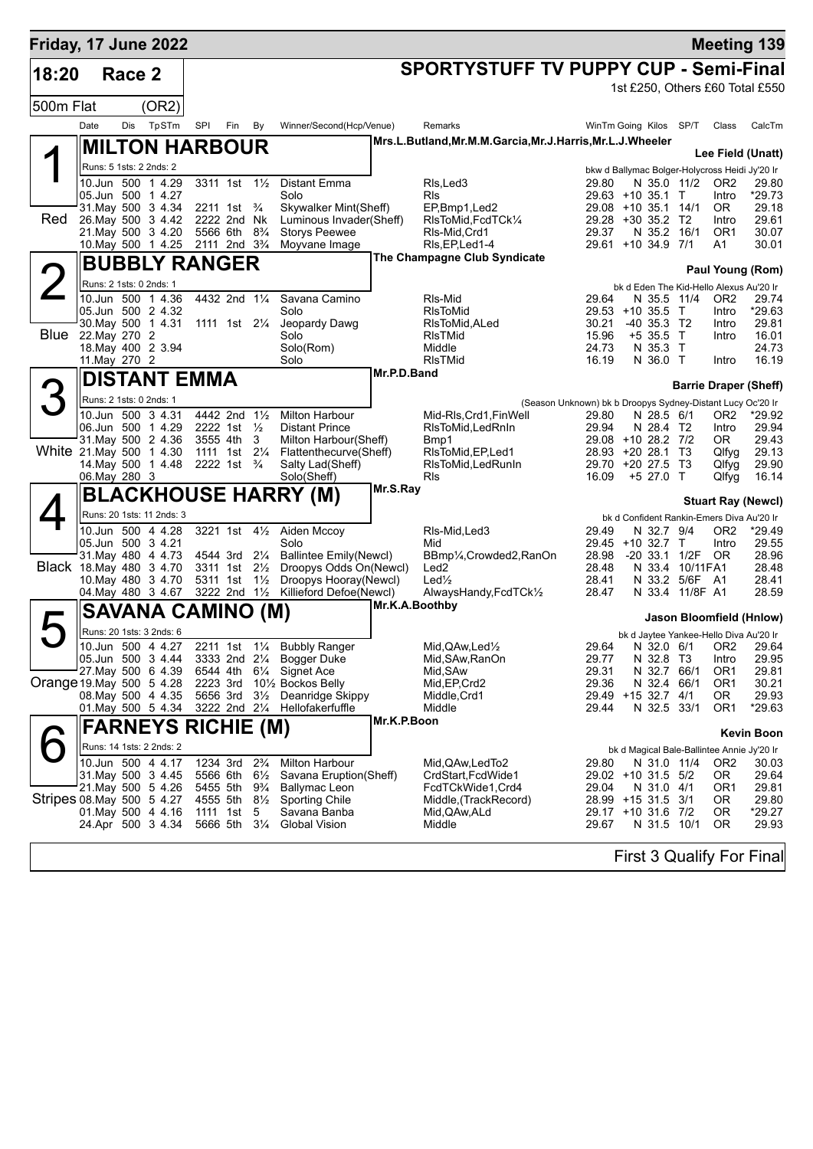| Friday, 17 June 2022     |               |        |                                                  |     |                                                       |                     |                                                 |             |                                                           |                                                            |                           |                   |                          | <b>Meeting 139</b>                                      |
|--------------------------|---------------|--------|--------------------------------------------------|-----|-------------------------------------------------------|---------------------|-------------------------------------------------|-------------|-----------------------------------------------------------|------------------------------------------------------------|---------------------------|-------------------|--------------------------|---------------------------------------------------------|
| 18:20                    |               | Race 2 |                                                  |     |                                                       |                     |                                                 |             | <b>SPORTYSTUFF TV PUPPY CUP - Semi-Final</b>              |                                                            |                           |                   |                          |                                                         |
|                          |               |        |                                                  |     |                                                       |                     |                                                 |             |                                                           |                                                            |                           |                   |                          | 1st £250, Others £60 Total £550                         |
| 500m Flat                |               |        | (OR2)                                            |     |                                                       |                     |                                                 |             |                                                           |                                                            |                           |                   |                          |                                                         |
|                          | Date          | Dis    | TpSTm                                            | SPI | Fin                                                   | By                  | Winner/Second(Hcp/Venue)                        |             | Remarks                                                   | WinTm Going Kilos SP/T                                     |                           |                   | Class                    | CalcTm                                                  |
|                          |               |        | <b>MILTON HARBOUR</b>                            |     |                                                       |                     |                                                 |             | Mrs.L.Butland, Mr.M.M.Garcia, Mr.J.Harris, Mr.L.J.Wheeler |                                                            |                           |                   |                          |                                                         |
|                          |               |        | Runs: 5 1sts: 2 2nds: 2                          |     |                                                       |                     |                                                 |             |                                                           |                                                            |                           |                   |                          | Lee Field (Unatt)                                       |
|                          |               |        | 10.Jun 500 1 4.29                                |     | 3311 1st 11/2                                         |                     | <b>Distant Emma</b>                             |             | RIs, Led 3                                                | 29.80                                                      |                           | N 35.0 11/2       | OR <sub>2</sub>          | bkw d Ballymac Bolger-Holycross Heidi Jy'20 Ir<br>29.80 |
|                          |               |        | 05.Jun 500 1 4.27                                |     |                                                       |                     | Solo                                            |             | <b>RIs</b>                                                | 29.63 +10 35.1 T                                           |                           |                   | Intro                    | *29.73                                                  |
|                          |               |        | 31. May 500 3 4.34                               |     | 2211 1st <sup>3</sup> / <sub>4</sub>                  |                     | Skywalker Mint(Sheff)                           |             | EP,Bmp1,Led2                                              | 29.08 +10 35.1 14/1                                        |                           |                   | OR.                      | 29.18                                                   |
| Red                      |               |        | 26. May 500 3 4.42<br>21. May 500 3 4.20         |     | 2222 2nd Nk<br>5566 6th 8 <sup>3</sup> / <sub>4</sub> |                     | Luminous Invader(Sheff)<br><b>Storys Peewee</b> |             | RIsToMid, FcdTCk1/4<br>RIs-Mid.Crd1                       | 29.28 +30 35.2 T2<br>29.37                                 | N 35.2 16/1               |                   | Intro<br>OR <sub>1</sub> | 29.61<br>30.07                                          |
|                          |               |        | 10. May 500 1 4.25                               |     | 2111 2nd 3 <sup>3</sup> / <sub>4</sub>                |                     | Moyvane Image                                   |             | RIs, EP, Led 1-4                                          | 29.61 +10 34.9 7/1                                         |                           |                   | A1                       | 30.01                                                   |
|                          |               |        | <b>BUBBLY RANGER</b>                             |     |                                                       |                     |                                                 |             | The Champagne Club Syndicate                              |                                                            |                           |                   |                          |                                                         |
|                          |               |        | Runs: 2 1sts: 0 2nds: 1                          |     |                                                       |                     |                                                 |             |                                                           |                                                            |                           |                   |                          | Paul Young (Rom)                                        |
|                          |               |        | 10.Jun 500 1 4.36                                |     | 4432 2nd 11/4                                         |                     | Savana Camino                                   |             | RIs-Mid                                                   | 29.64                                                      | N 35.5 11/4               |                   | OR <sub>2</sub>          | bk d Eden The Kid-Hello Alexus Au'20 Ir<br>29.74        |
|                          |               |        | 05.Jun 500 2 4.32                                |     |                                                       |                     | Solo                                            |             | <b>RIsToMid</b>                                           | $29.53 + 10.35.5$                                          |                           | $\top$            | Intro                    | *29.63                                                  |
|                          |               |        | 30. May 500 1 4.31                               |     | 1111 1st 21/ <sub>4</sub>                             |                     | Jeopardy Dawg                                   |             | RIsToMid, ALed                                            | 30.21                                                      | $-40$ 35.3 T <sub>2</sub> |                   | Intro                    | 29.81                                                   |
| Blue                     | 22. May 270 2 |        |                                                  |     |                                                       |                     | Solo                                            |             | RIsTMid                                                   | 15.96                                                      | $+5$ 35.5                 | $\top$            | Intro                    | 16.01                                                   |
|                          | 11.May 270 2  |        | 18. May 400 2 3.94                               |     |                                                       |                     | Solo(Rom)<br>Solo                               |             | Middle<br><b>RIsTMid</b>                                  | 24.73<br>16.19                                             | N 35.3 T<br>N 36.0 T      |                   | Intro                    | 24.73<br>16.19                                          |
|                          |               |        |                                                  |     |                                                       |                     |                                                 | Mr.P.D.Band |                                                           |                                                            |                           |                   |                          |                                                         |
|                          |               |        | <b>DISTANT EMMA</b>                              |     |                                                       |                     |                                                 |             |                                                           |                                                            |                           |                   |                          | <b>Barrie Draper (Sheff)</b>                            |
|                          |               |        | Runs: 2 1sts: 0 2nds: 1                          |     |                                                       |                     |                                                 |             |                                                           | (Season Unknown) bk b Droopys Sydney-Distant Lucy Oc'20 Ir |                           |                   |                          |                                                         |
|                          |               |        | 10.Jun 500 3 4.31<br>06.Jun 500 1 4.29           |     | 4442 2nd 11/2<br>2222 1st 1/2                         |                     | <b>Milton Harbour</b><br><b>Distant Prince</b>  |             | Mid-RIs, Crd1, FinWell                                    | 29.80<br>29.94                                             | N 28.5 6/1<br>N 28.4 T2   |                   | OR <sub>2</sub><br>Intro | *29.92<br>29.94                                         |
|                          |               |        | 31. May 500 2 4.36                               |     | 3555 4th                                              | 3                   | Milton Harbour(Sheff)                           |             | RIsToMid, Led RnIn<br>Bmp1                                | 29.08 +10 28.2 7/2                                         |                           |                   | OR.                      | 29.43                                                   |
|                          |               |        | White 21. May 500 1 4.30                         |     | 1111 1st 21/ <sub>4</sub>                             |                     | Flattenthecurve(Sheff)                          |             | RIsToMid, EP, Led1                                        | 28.93 +20 28.1 T3                                          |                           |                   | Qlfyg                    | 29.13                                                   |
|                          |               |        | 14. May 500 1 4.48                               |     | 2222 1st $\frac{3}{4}$                                |                     | Salty Lad(Sheff)                                |             | RIsToMid, Led RunIn                                       | 29.70 +20 27.5                                             |                           | - T3              | Qlfyg                    | 29.90                                                   |
|                          | 06. May 280 3 |        |                                                  |     |                                                       |                     | Solo(Sheff)                                     | Mr.S.Ray    | <b>RIs</b>                                                | 16.09                                                      | +5 27.0 T                 |                   | Qlfyg                    | 16.14                                                   |
|                          |               |        |                                                  |     |                                                       |                     | <b>BLACKHOUSE HARRY (M)</b>                     |             |                                                           |                                                            |                           |                   |                          | <b>Stuart Ray (Newcl)</b>                               |
|                          |               |        | Runs: 20 1sts: 11 2nds: 3                        |     |                                                       |                     |                                                 |             |                                                           |                                                            |                           |                   |                          | bk d Confident Rankin-Emers Diva Au'20 Ir               |
|                          |               |        | 10.Jun 500 4 4.28<br>05.Jun 500 3 4.21           |     |                                                       |                     | 3221 1st 41/2 Aiden Mccoy<br>Solo               |             | RIs-Mid, Led3<br>Mid                                      | 29.49<br>29.45 +10 32.7 T                                  | N 32.7 9/4                |                   | OR <sub>2</sub><br>Intro | *29.49<br>29.55                                         |
|                          |               |        | 31 May 480 4 4.73                                |     | 4544 3rd 21/4                                         |                     | <b>Ballintee Emily(Newcl)</b>                   |             | BBmp1/ <sub>4</sub> , Crowded2, RanOn                     | 28.98                                                      |                           | $-20$ 33.1 $1/2F$ | OR.                      | 28.96                                                   |
|                          |               |        | Black 18. May 480 3 4.70                         |     | 3311 1st 21/ <sub>2</sub>                             |                     | Droopys Odds On(Newcl)                          |             | Led <sub>2</sub>                                          | 28.48                                                      |                           | N 33.4 10/11 FA1  |                          | 28.48                                                   |
|                          |               |        | 10. May 480 3 4.70                               |     | 5311 1st 1 <sup>1</sup> / <sub>2</sub>                |                     | Droopys Hooray(Newcl)                           |             | $Led\frac{1}{2}$                                          | 28.41                                                      |                           | N 33.2 5/6F A1    |                          | 28.41                                                   |
|                          |               |        | 04. May 480 3 4.67                               |     | 3222 2nd $1\frac{1}{2}$                               |                     | Killieford Defoe(Newcl)                         |             | AlwaysHandy,FcdTCk1/2<br>Mr.K.A.Boothby                   | 28.47                                                      |                           | N 33.4 11/8F A1   |                          | 28.59                                                   |
|                          |               |        | <b>SAVANA CAMINO (M)</b>                         |     |                                                       |                     |                                                 |             |                                                           |                                                            |                           |                   |                          | Jason Bloomfield (Hnlow)                                |
|                          |               |        | Runs: 20 1sts: 3 2nds: 6                         |     |                                                       |                     |                                                 |             |                                                           |                                                            |                           |                   |                          | bk d Jaytee Yankee-Hello Diva Au'20 Ir                  |
|                          |               |        | 10.Jun 500 4 4.27                                |     |                                                       |                     | 2211 1st 11/4 Bubbly Ranger                     |             | Mid, QAw, Led <sup>1</sup> / <sub>2</sub>                 | 29.64                                                      |                           |                   |                          | N 32.0 6/1 OR2 29.64                                    |
|                          |               |        | 05.Jun 500 3 4.44<br>27. May 500 6 4.39          |     | 6544 4th                                              | $6\frac{1}{4}$      | 3333 2nd 21/4 Bogger Duke<br>Signet Ace         |             | Mid, SAw, RanOn<br>Mid, SAw                               | 29.77<br>29.31                                             | N 32.8 T3<br>N 32.7 66/1  |                   | Intro<br>OR <sub>1</sub> | 29.95<br>29.81                                          |
| Orange 19 May 500 5 4.28 |               |        |                                                  |     | 2223 3rd                                              |                     | 10½ Bockos Belly                                |             | Mid, EP, Crd2                                             | 29.36                                                      | N 32.4 66/1               |                   | OR <sub>1</sub>          | 30.21                                                   |
|                          |               |        | 08. May 500 4 4.35                               |     | 5656 3rd                                              | $3\frac{1}{2}$      | Deanridge Skippy                                |             | Middle, Crd1                                              | 29.49 +15 32.7 4/1                                         |                           |                   | OR.                      | 29.93                                                   |
|                          |               |        | 01. May 500 5 4.34                               |     |                                                       |                     | 3222 2nd 21/4 Hellofakerfuffle                  |             | Middle                                                    | 29.44                                                      | N 32.5 33/1               |                   | OR <sub>1</sub>          | *29.63                                                  |
|                          |               |        | <b>FARNEYS RICHIE (M)</b>                        |     |                                                       |                     |                                                 | Mr.K.P.Boon |                                                           |                                                            |                           |                   |                          | <b>Kevin Boon</b>                                       |
|                          |               |        | Runs: 14 1sts: 2 2nds: 2                         |     |                                                       |                     |                                                 |             |                                                           |                                                            |                           |                   |                          | bk d Magical Bale-Ballintee Annie Jy'20 Ir              |
|                          |               |        | 10.Jun 500 4 4.17                                |     | 1234 3rd                                              | $2\frac{3}{4}$      | <b>Milton Harbour</b>                           |             | Mid, QAw, Led To 2                                        | 29.80                                                      | N 31.0 11/4               |                   | OR <sub>2</sub>          | 30.03                                                   |
|                          |               |        | 31. May 500 3 4.45                               |     | 5566 6th                                              | $6\frac{1}{2}$      | Savana Eruption(Sheff)                          |             | CrdStart, FcdWide1                                        | 29.02 +10 31.5 5/2                                         |                           |                   | OR.                      | 29.64                                                   |
|                          |               |        | 21. May 500 5 4. 26                              |     | 5455 5th                                              | $9\frac{3}{4}$      | Ballymac Leon                                   |             | FcdTCkWide1,Crd4                                          | 29.04                                                      | N 31.0 4/1                |                   | OR1                      | 29.81                                                   |
|                          |               |        | Stripes 08. May 500 5 4.27<br>01. May 500 4 4.16 |     | 4555 5th<br>1111 1st                                  | $8\frac{1}{2}$<br>5 | Sporting Chile<br>Savana Banba                  |             | Middle, (TrackRecord)<br>Mid, QAw, ALd                    | 28.99 +15 31.5 3/1<br>29.17 +10 31.6 7/2                   |                           |                   | 0R<br>0R                 | 29.80<br>$*29.27$                                       |
|                          |               |        | 24.Apr 500 3 4.34                                |     | 5666 5th                                              | $3\frac{1}{4}$      | Global Vision                                   |             | Middle                                                    | 29.67                                                      | N 31.5 10/1               |                   | 0R                       | 29.93                                                   |
|                          |               |        |                                                  |     |                                                       |                     |                                                 |             |                                                           |                                                            |                           |                   |                          |                                                         |
|                          |               |        |                                                  |     |                                                       |                     |                                                 |             |                                                           |                                                            |                           |                   |                          |                                                         |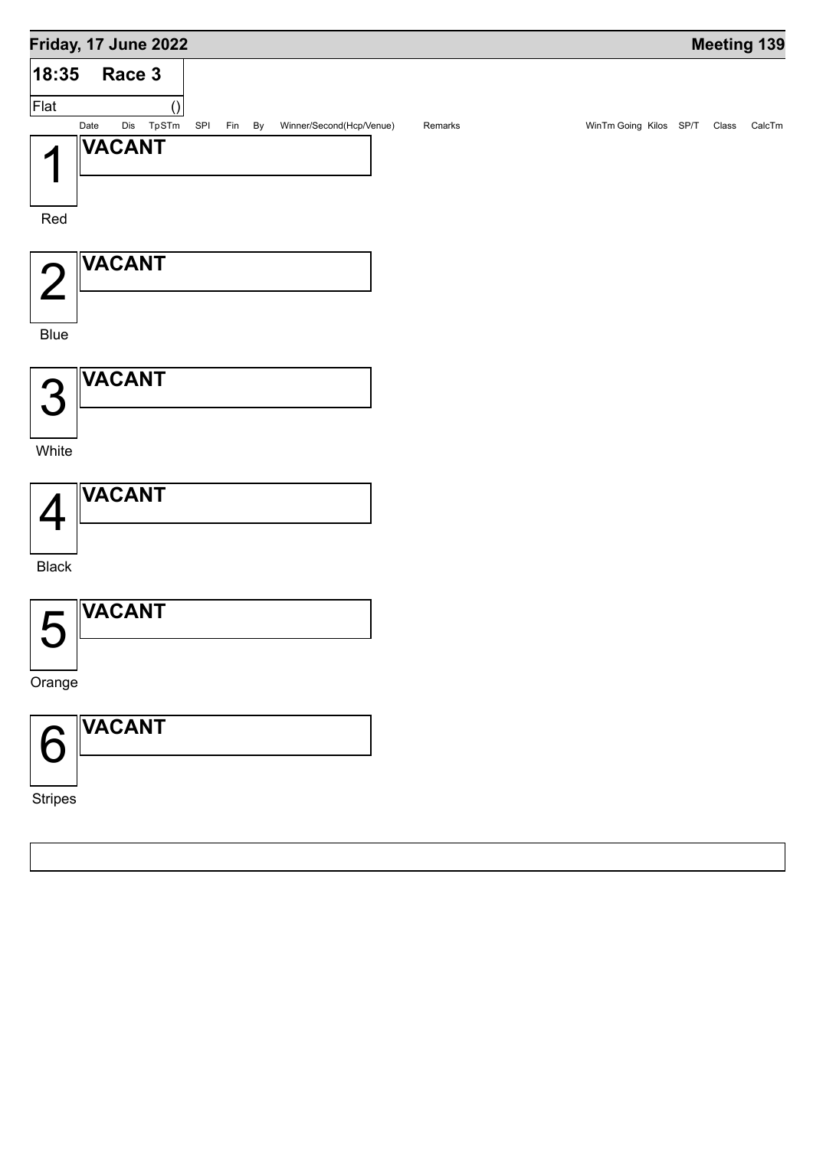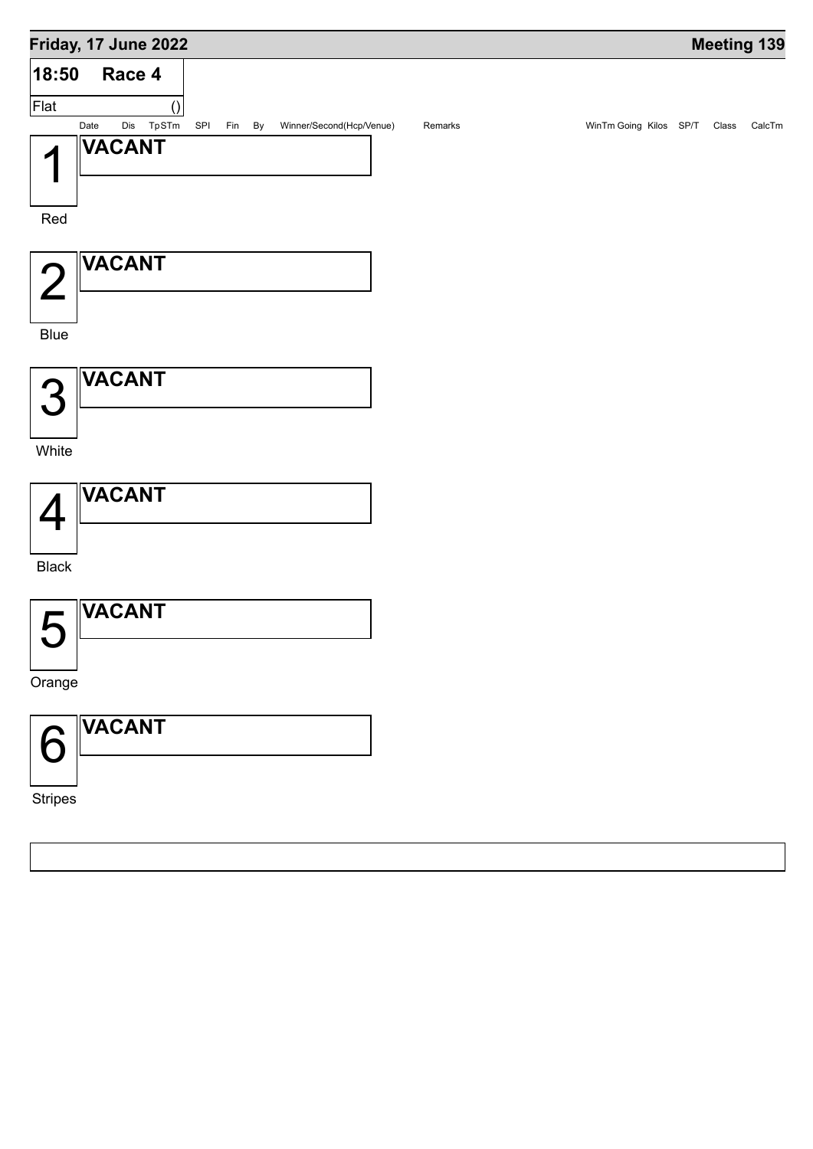## **Friday, 17 June 2022 Meeting 139 Race 4** () **18:50** Flat Date Dis TpSTm SPI Fin By Winner/Second(Hcp/Venue) Remarks WinTm Going Kilos SP/T Class CalcTm 1 Red **VACANT** 2 Blue **VACANT** 3 **White VACANT** 4 Black **VACANT** 5 Orange **VACANT** 6 **VACANT**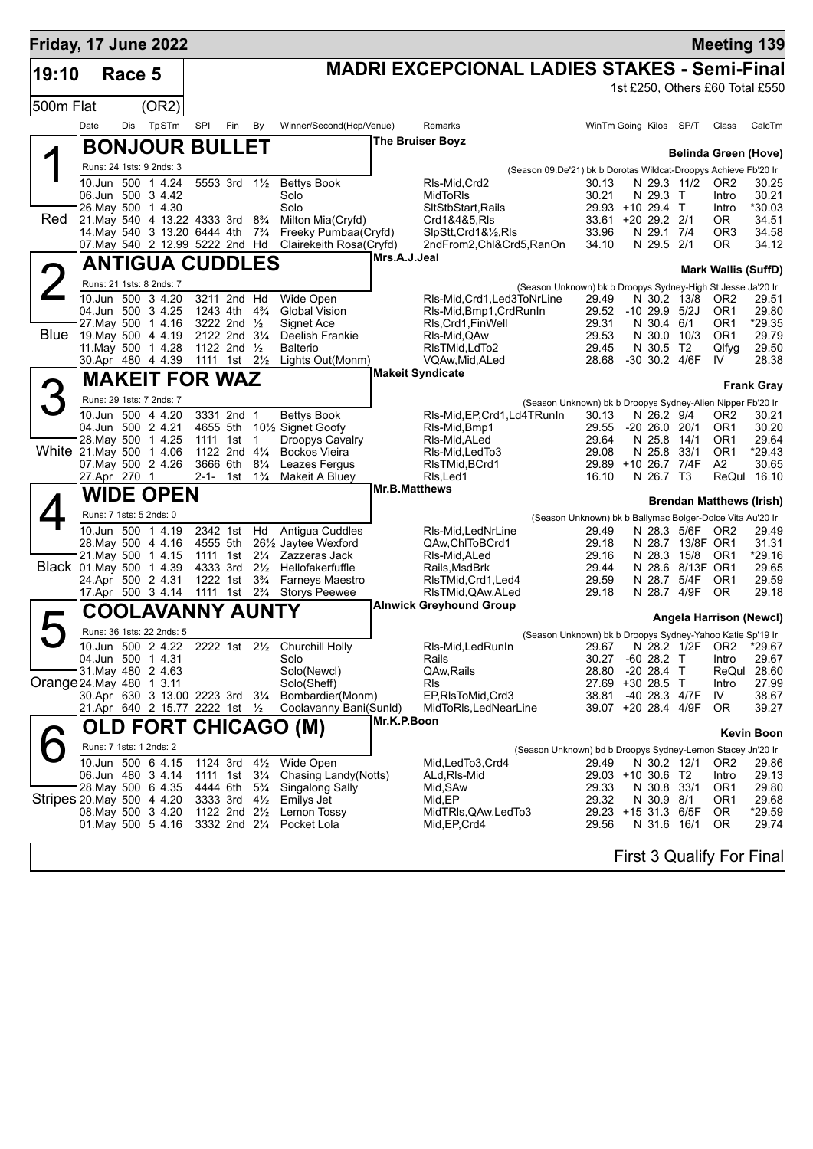| <b>MADRI EXCEPCIONAL LADIES STAKES - Semi-Final</b><br>19:10<br>Race 5<br>1st £250, Others £60 Total £550<br>(OR2)<br>500m Flat<br>Date<br>Dis<br>TpSTm<br>SPI<br>Fin<br>Winner/Second(Hcp/Venue)<br>WinTm Going Kilos SP/T<br>By<br>Remarks<br>Class<br><b>The Bruiser Boyz</b><br><b>BONJOUR BULLET</b><br><b>Belinda Green (Hove)</b><br>Runs: 24 1sts: 9 2nds: 3<br>(Season 09.De'21) bk b Dorotas Wildcat-Droopys Achieve Fb'20 Ir<br>5553 3rd 11/2<br><b>Bettys Book</b><br>10.Jun 500 1 4.24<br>RIs-Mid.Crd2<br>N 29.3 11/2<br>30.13<br>OR <sub>2</sub><br>06.Jun 500 3 4.42<br>Solo<br>MidToRIs<br>30.21<br>N 29.3 T<br>Intro<br>Solo<br>26. May 500 1 4.30<br>SItStbStart, Rails<br>29.93 +10 29.4 T<br>*30.03<br>Intro<br>Red<br>21. May 540 4 13.22 4333 3rd 8 <sup>3</sup> / <sub>4</sub><br>Milton Mia(Cryfd)<br>Crd1&4&5, RIs<br>33.61 +20 29.2 2/1<br>OR.<br>14. May 540 3 13.20 6444 4th 7 <sup>3</sup> / <sub>4</sub><br>Freeky Pumbaa(Cryfd)<br>SlpStt, Crd1&1/2, RIs<br>33.96<br>N 29.1 7/4<br>OR <sub>3</sub><br>07. May 540 2 12.99 5222 2nd Hd<br>Clairekeith Rosa(Cryfd)<br>2ndFrom2, Chl&Crd5, RanOn<br>34.10<br>N 29.5 2/1<br>OR.<br>34.12<br>Mrs.A.J.Jeal<br><b>ANTIGUA CUDDLES</b><br><b>Mark Wallis (SuffD)</b><br>Runs: 21 1sts: 8 2nds: 7<br>(Season Unknown) bk b Droopys Sydney-High St Jesse Ja'20 Ir<br>10.Jun 500 3 4.20<br>3211 2nd Hd<br>Wide Open<br>RIs-Mid, Crd1, Led3ToNrLine<br>29.49<br>N 30.2 13/8<br>OR <sub>2</sub><br>29.51<br>04.Jun 500 3 4.25<br><b>Global Vision</b><br>29.52 -10 29.9 5/2J<br>1243 4th<br>$4\frac{3}{4}$<br>RIs-Mid, Bmp1, CrdRunIn<br>OR <sub>1</sub><br>27. May 500 1 4.16<br>3222 2nd 1/2<br>Signet Ace<br>RIs, Crd1, FinWell<br>29.31<br>N 30.4 6/1<br>OR <sub>1</sub><br><b>Blue</b><br>19. May 500 4 4.19<br>2122 2nd 31/4<br>Deelish Frankie<br>29.53<br>N 30.0 10/3<br>OR <sub>1</sub><br>29.79<br>RIs-Mid, QAw<br>11. May 500 1 4.28<br>1122 2nd 1/2<br>29.50<br><b>Balterio</b><br>RIsTMid, LdTo2<br>29.45<br>N 30.5 T2<br>Qlfyg<br>30.Apr 480 4 4.39<br>1111 1st<br>$2\frac{1}{2}$<br>VQAw, Mid, ALed<br>28.68<br>-30 30.2 4/6F<br>Lights Out(Monm)<br>IV<br><b>Makeit Syndicate</b><br><b>MAKEIT FOR WAZ</b><br><b>Frank Gray</b><br>Runs: 29 1sts: 7 2nds: 7<br>(Season Unknown) bk b Droopys Sydney-Alien Nipper Fb'20 Ir<br>10.Jun 500 4 4.20<br>3331 2nd 1<br>RIs-Mid, EP, Crd1, Ld4TRunIn<br><b>Bettys Book</b><br>30.13<br>N 26.2 9/4<br>OR <sub>2</sub><br>04.Jun 500 2 4.21<br>29.55<br>4655 5th<br>10 <sup>1</sup> / <sub>2</sub> Signet Goofy<br>$-20$ 26.0 20/1<br>OR <sub>1</sub><br>RIs-Mid, Bmp1<br>28. May 500 1 4.25<br>29.64<br>N 25.8<br>29.64<br>1111 1st<br>$\overline{1}$<br>Droopys Cavalry<br>14/1<br>OR <sub>1</sub><br>RIs-Mid, ALed<br>White 21. May 500 1 4.06<br>1122 2nd 41/4<br>OR <sub>1</sub><br><b>Bockos Vieira</b><br>29.08<br>N 25.8 33/1<br>RIs-Mid, Led To 3<br>07. May 500 2 4.26<br>3666 6th<br>$8\frac{1}{4}$<br>29.89 +10 26.7 7/4F<br>Leazes Fergus<br>A2<br>RIsTMid, BCrd1<br>N 26.7 T3<br>ReQul 16.10<br>27.Apr 270 1<br>2-1-<br>$1\frac{3}{4}$<br>Makeit A Bluey<br>RIs, Led1<br>16.10<br>1st<br>Mr.B.Matthews<br><b>WIDE OPEN</b><br><b>Brendan Matthews (Irish)</b><br>Runs: 7 1sts: 5 2nds: 0<br>(Season Unknown) bk b Ballymac Bolger-Dolce Vita Au'20 Ir<br>10.Jun 500 1 4.19<br>2342 1st Hd Antigua Cuddles<br>RIs-Mid, LedNrLine<br>29.49<br>N 28.3 5/6F OR2<br>29.49<br>28. May 500 4 4.16<br>4555 5th<br>261/ <sub>2</sub> Jaytee Wexford<br>QAw,ChlToBCrd1<br>29.18<br>N 28.7 13/8F OR1<br>31.31<br>21. May 500 1 4.15<br>1111 1st 21/4 Zazzeras Jack<br>RIs-Mid, ALed<br>29.16<br>N 28.3 15/8<br>OR1<br>Black 01.May 500 1 4.39<br>4333 3rd 21/2<br>Hellofakerfuffle<br>29.44<br>N 28.6 8/13F OR1<br>Rails, MsdBrk<br>29.65<br>$3\frac{3}{4}$<br>24.Apr 500 2 4.31<br>1222 1st<br><b>Farneys Maestro</b><br>29.59<br>N 28.7 5/4F<br>OR <sub>1</sub><br>29.59<br>RIsTMid, Crd1, Led4<br>17.Apr 500 3 4.14<br>1111 1st 2 <sup>3</sup> / <sub>4</sub><br><b>Storys Peewee</b><br>RIsTMid, QAw, ALed<br>29.18<br>N 28.7 4/9F<br>OR.<br><b>Alnwick Greyhound Group</b><br>COOLAVANNY AUNTY<br>Angela Harrison (Newcl)<br>Runs: 36 1sts: 22 2nds: 5<br>(Season Unknown) bk b Droopys Sydney-Yahoo Katie Sp'19 Ir<br>10.Jun 500 2 4.22 2222 1st 21/2 Churchill Holly<br>RIs-Mid, Led RunIn<br>29.67 N 28.2 1/2F OR2 *29.67<br>04.Jun 500 1 4.31<br>$-60$ 28.2 T<br>30.27<br>Intro<br>Solo<br>Rails<br>31. May 480 2 4.63<br>Solo(Newcl)<br>QAw, Rails<br>28.80<br>$-20$ 28.4 T<br>ReQul<br>28.60<br>Orange 24 May 480 1 3.11<br>Solo(Sheff)<br>27.69 +30 28.5 T<br>Rls<br>Intro<br>30.Apr 630 3 13.00 2223 3rd 31/4 Bombardier(Monm)<br>38.81<br>-40 28.3 4/7F<br>IV<br>EP, RIs To Mid, Crd3<br>21.Apr 640 2 15.77 2222 1st 1/2<br>Coolavanny Bani(Sunld)<br>39.07 +20 28.4 4/9F<br>0R<br>39.27<br>MidToRIs, LedNearLine<br>Mr.K.P.Boon<br>OLD FORT CHICAGO (M)<br><b>Kevin Boon</b><br>Runs: 7 1sts: 1 2nds: 2<br>(Season Unknown) bd b Droopys Sydney-Lemon Stacey Jn'20 Ir<br>1124 3rd 41/2<br>Wide Open<br>10.Jun 500 6 4.15<br>N 30.2 12/1<br>Mid,LedTo3,Crd4<br>29.49<br>OR <sub>2</sub><br>06.Jun 480 3 4.14<br>Chasing Landy(Notts)<br>29.03 +10 30.6 T2<br>1111 1st 31/ <sub>4</sub><br>ALd, RIs-Mid<br>29.13<br>Intro<br>28. May 500 6 4.35<br>N 30.8 33/1<br>4444 6th<br>$5\frac{3}{4}$<br>Singalong Sally<br>Mid, SAw<br>29.33<br>OR <sub>1</sub><br>Stripes 20. May 500 4 4.20<br>3333 3rd 41/2<br>Emilys Jet<br>Mid,EP<br>29.32<br>N 30.9 8/1<br>OR <sub>1</sub><br>1122 2nd 21/2<br>29.23 +15 31.3 6/5F<br>0R<br>*29.59<br>08. May 500 3 4.20<br>Lemon Tossy<br>MidTRIs, QAw, Led To 3<br>01. May 500 5 4.16<br>3332 2nd 21/4<br>Mid, EP, Crd4<br>29.56<br>N 31.6 16/1<br>0R<br>Pocket Lola<br>First 3 Qualify For Final | Friday, 17 June 2022 |  |  |  |  |  |  | <b>Meeting 139</b> |        |
|---------------------------------------------------------------------------------------------------------------------------------------------------------------------------------------------------------------------------------------------------------------------------------------------------------------------------------------------------------------------------------------------------------------------------------------------------------------------------------------------------------------------------------------------------------------------------------------------------------------------------------------------------------------------------------------------------------------------------------------------------------------------------------------------------------------------------------------------------------------------------------------------------------------------------------------------------------------------------------------------------------------------------------------------------------------------------------------------------------------------------------------------------------------------------------------------------------------------------------------------------------------------------------------------------------------------------------------------------------------------------------------------------------------------------------------------------------------------------------------------------------------------------------------------------------------------------------------------------------------------------------------------------------------------------------------------------------------------------------------------------------------------------------------------------------------------------------------------------------------------------------------------------------------------------------------------------------------------------------------------------------------------------------------------------------------------------------------------------------------------------------------------------------------------------------------------------------------------------------------------------------------------------------------------------------------------------------------------------------------------------------------------------------------------------------------------------------------------------------------------------------------------------------------------------------------------------------------------------------------------------------------------------------------------------------------------------------------------------------------------------------------------------------------------------------------------------------------------------------------------------------------------------------------------------------------------------------------------------------------------------------------------------------------------------------------------------------------------------------------------------------------------------------------------------------------------------------------------------------------------------------------------------------------------------------------------------------------------------------------------------------------------------------------------------------------------------------------------------------------------------------------------------------------------------------------------------------------------------------------------------------------------------------------------------------------------------------------------------------------------------------------------------------------------------------------------------------------------------------------------------------------------------------------------------------------------------------------------------------------------------------------------------------------------------------------------------------------------------------------------------------------------------------------------------------------------------------------------------------------------------------------------------------------------------------------------------------------------------------------------------------------------------------------------------------------------------------------------------------------------------------------------------------------------------------------------------------------------------------------------------------------------------------------------------------------------------------------------------------------------------------------------------------------------------------------------------------------------------------------------------------------------------------------------------------------------------------------------------------------------------------------------------------------------------------------------------------------------------------------------------------------------------------------------------------------------------------------------------------------------------------------------------------------------------------------------------------------------------------------------------------------------------------------------------------------------------------------------------------------------------------------------------------------------------------------------------------------------------------------------------------------------------------------------------------------------------------------------------------------------------------------------------|----------------------|--|--|--|--|--|--|--------------------|--------|
|                                                                                                                                                                                                                                                                                                                                                                                                                                                                                                                                                                                                                                                                                                                                                                                                                                                                                                                                                                                                                                                                                                                                                                                                                                                                                                                                                                                                                                                                                                                                                                                                                                                                                                                                                                                                                                                                                                                                                                                                                                                                                                                                                                                                                                                                                                                                                                                                                                                                                                                                                                                                                                                                                                                                                                                                                                                                                                                                                                                                                                                                                                                                                                                                                                                                                                                                                                                                                                                                                                                                                                                                                                                                                                                                                                                                                                                                                                                                                                                                                                                                                                                                                                                                                                                                                                                                                                                                                                                                                                                                                                                                                                                                                                                                                                                                                                                                                                                                                                                                                                                                                                                                                                                                                                                                                                                                                                                                                                                                                                                                                                                                                                                                                                                                                                           |                      |  |  |  |  |  |  |                    |        |
|                                                                                                                                                                                                                                                                                                                                                                                                                                                                                                                                                                                                                                                                                                                                                                                                                                                                                                                                                                                                                                                                                                                                                                                                                                                                                                                                                                                                                                                                                                                                                                                                                                                                                                                                                                                                                                                                                                                                                                                                                                                                                                                                                                                                                                                                                                                                                                                                                                                                                                                                                                                                                                                                                                                                                                                                                                                                                                                                                                                                                                                                                                                                                                                                                                                                                                                                                                                                                                                                                                                                                                                                                                                                                                                                                                                                                                                                                                                                                                                                                                                                                                                                                                                                                                                                                                                                                                                                                                                                                                                                                                                                                                                                                                                                                                                                                                                                                                                                                                                                                                                                                                                                                                                                                                                                                                                                                                                                                                                                                                                                                                                                                                                                                                                                                                           |                      |  |  |  |  |  |  |                    |        |
|                                                                                                                                                                                                                                                                                                                                                                                                                                                                                                                                                                                                                                                                                                                                                                                                                                                                                                                                                                                                                                                                                                                                                                                                                                                                                                                                                                                                                                                                                                                                                                                                                                                                                                                                                                                                                                                                                                                                                                                                                                                                                                                                                                                                                                                                                                                                                                                                                                                                                                                                                                                                                                                                                                                                                                                                                                                                                                                                                                                                                                                                                                                                                                                                                                                                                                                                                                                                                                                                                                                                                                                                                                                                                                                                                                                                                                                                                                                                                                                                                                                                                                                                                                                                                                                                                                                                                                                                                                                                                                                                                                                                                                                                                                                                                                                                                                                                                                                                                                                                                                                                                                                                                                                                                                                                                                                                                                                                                                                                                                                                                                                                                                                                                                                                                                           |                      |  |  |  |  |  |  |                    |        |
|                                                                                                                                                                                                                                                                                                                                                                                                                                                                                                                                                                                                                                                                                                                                                                                                                                                                                                                                                                                                                                                                                                                                                                                                                                                                                                                                                                                                                                                                                                                                                                                                                                                                                                                                                                                                                                                                                                                                                                                                                                                                                                                                                                                                                                                                                                                                                                                                                                                                                                                                                                                                                                                                                                                                                                                                                                                                                                                                                                                                                                                                                                                                                                                                                                                                                                                                                                                                                                                                                                                                                                                                                                                                                                                                                                                                                                                                                                                                                                                                                                                                                                                                                                                                                                                                                                                                                                                                                                                                                                                                                                                                                                                                                                                                                                                                                                                                                                                                                                                                                                                                                                                                                                                                                                                                                                                                                                                                                                                                                                                                                                                                                                                                                                                                                                           |                      |  |  |  |  |  |  |                    | CalcTm |
|                                                                                                                                                                                                                                                                                                                                                                                                                                                                                                                                                                                                                                                                                                                                                                                                                                                                                                                                                                                                                                                                                                                                                                                                                                                                                                                                                                                                                                                                                                                                                                                                                                                                                                                                                                                                                                                                                                                                                                                                                                                                                                                                                                                                                                                                                                                                                                                                                                                                                                                                                                                                                                                                                                                                                                                                                                                                                                                                                                                                                                                                                                                                                                                                                                                                                                                                                                                                                                                                                                                                                                                                                                                                                                                                                                                                                                                                                                                                                                                                                                                                                                                                                                                                                                                                                                                                                                                                                                                                                                                                                                                                                                                                                                                                                                                                                                                                                                                                                                                                                                                                                                                                                                                                                                                                                                                                                                                                                                                                                                                                                                                                                                                                                                                                                                           |                      |  |  |  |  |  |  |                    |        |
|                                                                                                                                                                                                                                                                                                                                                                                                                                                                                                                                                                                                                                                                                                                                                                                                                                                                                                                                                                                                                                                                                                                                                                                                                                                                                                                                                                                                                                                                                                                                                                                                                                                                                                                                                                                                                                                                                                                                                                                                                                                                                                                                                                                                                                                                                                                                                                                                                                                                                                                                                                                                                                                                                                                                                                                                                                                                                                                                                                                                                                                                                                                                                                                                                                                                                                                                                                                                                                                                                                                                                                                                                                                                                                                                                                                                                                                                                                                                                                                                                                                                                                                                                                                                                                                                                                                                                                                                                                                                                                                                                                                                                                                                                                                                                                                                                                                                                                                                                                                                                                                                                                                                                                                                                                                                                                                                                                                                                                                                                                                                                                                                                                                                                                                                                                           |                      |  |  |  |  |  |  |                    |        |
|                                                                                                                                                                                                                                                                                                                                                                                                                                                                                                                                                                                                                                                                                                                                                                                                                                                                                                                                                                                                                                                                                                                                                                                                                                                                                                                                                                                                                                                                                                                                                                                                                                                                                                                                                                                                                                                                                                                                                                                                                                                                                                                                                                                                                                                                                                                                                                                                                                                                                                                                                                                                                                                                                                                                                                                                                                                                                                                                                                                                                                                                                                                                                                                                                                                                                                                                                                                                                                                                                                                                                                                                                                                                                                                                                                                                                                                                                                                                                                                                                                                                                                                                                                                                                                                                                                                                                                                                                                                                                                                                                                                                                                                                                                                                                                                                                                                                                                                                                                                                                                                                                                                                                                                                                                                                                                                                                                                                                                                                                                                                                                                                                                                                                                                                                                           |                      |  |  |  |  |  |  |                    | 30.25  |
|                                                                                                                                                                                                                                                                                                                                                                                                                                                                                                                                                                                                                                                                                                                                                                                                                                                                                                                                                                                                                                                                                                                                                                                                                                                                                                                                                                                                                                                                                                                                                                                                                                                                                                                                                                                                                                                                                                                                                                                                                                                                                                                                                                                                                                                                                                                                                                                                                                                                                                                                                                                                                                                                                                                                                                                                                                                                                                                                                                                                                                                                                                                                                                                                                                                                                                                                                                                                                                                                                                                                                                                                                                                                                                                                                                                                                                                                                                                                                                                                                                                                                                                                                                                                                                                                                                                                                                                                                                                                                                                                                                                                                                                                                                                                                                                                                                                                                                                                                                                                                                                                                                                                                                                                                                                                                                                                                                                                                                                                                                                                                                                                                                                                                                                                                                           |                      |  |  |  |  |  |  |                    | 30.21  |
|                                                                                                                                                                                                                                                                                                                                                                                                                                                                                                                                                                                                                                                                                                                                                                                                                                                                                                                                                                                                                                                                                                                                                                                                                                                                                                                                                                                                                                                                                                                                                                                                                                                                                                                                                                                                                                                                                                                                                                                                                                                                                                                                                                                                                                                                                                                                                                                                                                                                                                                                                                                                                                                                                                                                                                                                                                                                                                                                                                                                                                                                                                                                                                                                                                                                                                                                                                                                                                                                                                                                                                                                                                                                                                                                                                                                                                                                                                                                                                                                                                                                                                                                                                                                                                                                                                                                                                                                                                                                                                                                                                                                                                                                                                                                                                                                                                                                                                                                                                                                                                                                                                                                                                                                                                                                                                                                                                                                                                                                                                                                                                                                                                                                                                                                                                           |                      |  |  |  |  |  |  |                    | 34.51  |
|                                                                                                                                                                                                                                                                                                                                                                                                                                                                                                                                                                                                                                                                                                                                                                                                                                                                                                                                                                                                                                                                                                                                                                                                                                                                                                                                                                                                                                                                                                                                                                                                                                                                                                                                                                                                                                                                                                                                                                                                                                                                                                                                                                                                                                                                                                                                                                                                                                                                                                                                                                                                                                                                                                                                                                                                                                                                                                                                                                                                                                                                                                                                                                                                                                                                                                                                                                                                                                                                                                                                                                                                                                                                                                                                                                                                                                                                                                                                                                                                                                                                                                                                                                                                                                                                                                                                                                                                                                                                                                                                                                                                                                                                                                                                                                                                                                                                                                                                                                                                                                                                                                                                                                                                                                                                                                                                                                                                                                                                                                                                                                                                                                                                                                                                                                           |                      |  |  |  |  |  |  |                    | 34.58  |
|                                                                                                                                                                                                                                                                                                                                                                                                                                                                                                                                                                                                                                                                                                                                                                                                                                                                                                                                                                                                                                                                                                                                                                                                                                                                                                                                                                                                                                                                                                                                                                                                                                                                                                                                                                                                                                                                                                                                                                                                                                                                                                                                                                                                                                                                                                                                                                                                                                                                                                                                                                                                                                                                                                                                                                                                                                                                                                                                                                                                                                                                                                                                                                                                                                                                                                                                                                                                                                                                                                                                                                                                                                                                                                                                                                                                                                                                                                                                                                                                                                                                                                                                                                                                                                                                                                                                                                                                                                                                                                                                                                                                                                                                                                                                                                                                                                                                                                                                                                                                                                                                                                                                                                                                                                                                                                                                                                                                                                                                                                                                                                                                                                                                                                                                                                           |                      |  |  |  |  |  |  |                    |        |
|                                                                                                                                                                                                                                                                                                                                                                                                                                                                                                                                                                                                                                                                                                                                                                                                                                                                                                                                                                                                                                                                                                                                                                                                                                                                                                                                                                                                                                                                                                                                                                                                                                                                                                                                                                                                                                                                                                                                                                                                                                                                                                                                                                                                                                                                                                                                                                                                                                                                                                                                                                                                                                                                                                                                                                                                                                                                                                                                                                                                                                                                                                                                                                                                                                                                                                                                                                                                                                                                                                                                                                                                                                                                                                                                                                                                                                                                                                                                                                                                                                                                                                                                                                                                                                                                                                                                                                                                                                                                                                                                                                                                                                                                                                                                                                                                                                                                                                                                                                                                                                                                                                                                                                                                                                                                                                                                                                                                                                                                                                                                                                                                                                                                                                                                                                           |                      |  |  |  |  |  |  |                    |        |
|                                                                                                                                                                                                                                                                                                                                                                                                                                                                                                                                                                                                                                                                                                                                                                                                                                                                                                                                                                                                                                                                                                                                                                                                                                                                                                                                                                                                                                                                                                                                                                                                                                                                                                                                                                                                                                                                                                                                                                                                                                                                                                                                                                                                                                                                                                                                                                                                                                                                                                                                                                                                                                                                                                                                                                                                                                                                                                                                                                                                                                                                                                                                                                                                                                                                                                                                                                                                                                                                                                                                                                                                                                                                                                                                                                                                                                                                                                                                                                                                                                                                                                                                                                                                                                                                                                                                                                                                                                                                                                                                                                                                                                                                                                                                                                                                                                                                                                                                                                                                                                                                                                                                                                                                                                                                                                                                                                                                                                                                                                                                                                                                                                                                                                                                                                           |                      |  |  |  |  |  |  |                    |        |
|                                                                                                                                                                                                                                                                                                                                                                                                                                                                                                                                                                                                                                                                                                                                                                                                                                                                                                                                                                                                                                                                                                                                                                                                                                                                                                                                                                                                                                                                                                                                                                                                                                                                                                                                                                                                                                                                                                                                                                                                                                                                                                                                                                                                                                                                                                                                                                                                                                                                                                                                                                                                                                                                                                                                                                                                                                                                                                                                                                                                                                                                                                                                                                                                                                                                                                                                                                                                                                                                                                                                                                                                                                                                                                                                                                                                                                                                                                                                                                                                                                                                                                                                                                                                                                                                                                                                                                                                                                                                                                                                                                                                                                                                                                                                                                                                                                                                                                                                                                                                                                                                                                                                                                                                                                                                                                                                                                                                                                                                                                                                                                                                                                                                                                                                                                           |                      |  |  |  |  |  |  |                    | 29.80  |
|                                                                                                                                                                                                                                                                                                                                                                                                                                                                                                                                                                                                                                                                                                                                                                                                                                                                                                                                                                                                                                                                                                                                                                                                                                                                                                                                                                                                                                                                                                                                                                                                                                                                                                                                                                                                                                                                                                                                                                                                                                                                                                                                                                                                                                                                                                                                                                                                                                                                                                                                                                                                                                                                                                                                                                                                                                                                                                                                                                                                                                                                                                                                                                                                                                                                                                                                                                                                                                                                                                                                                                                                                                                                                                                                                                                                                                                                                                                                                                                                                                                                                                                                                                                                                                                                                                                                                                                                                                                                                                                                                                                                                                                                                                                                                                                                                                                                                                                                                                                                                                                                                                                                                                                                                                                                                                                                                                                                                                                                                                                                                                                                                                                                                                                                                                           |                      |  |  |  |  |  |  |                    | *29.35 |
|                                                                                                                                                                                                                                                                                                                                                                                                                                                                                                                                                                                                                                                                                                                                                                                                                                                                                                                                                                                                                                                                                                                                                                                                                                                                                                                                                                                                                                                                                                                                                                                                                                                                                                                                                                                                                                                                                                                                                                                                                                                                                                                                                                                                                                                                                                                                                                                                                                                                                                                                                                                                                                                                                                                                                                                                                                                                                                                                                                                                                                                                                                                                                                                                                                                                                                                                                                                                                                                                                                                                                                                                                                                                                                                                                                                                                                                                                                                                                                                                                                                                                                                                                                                                                                                                                                                                                                                                                                                                                                                                                                                                                                                                                                                                                                                                                                                                                                                                                                                                                                                                                                                                                                                                                                                                                                                                                                                                                                                                                                                                                                                                                                                                                                                                                                           |                      |  |  |  |  |  |  |                    |        |
|                                                                                                                                                                                                                                                                                                                                                                                                                                                                                                                                                                                                                                                                                                                                                                                                                                                                                                                                                                                                                                                                                                                                                                                                                                                                                                                                                                                                                                                                                                                                                                                                                                                                                                                                                                                                                                                                                                                                                                                                                                                                                                                                                                                                                                                                                                                                                                                                                                                                                                                                                                                                                                                                                                                                                                                                                                                                                                                                                                                                                                                                                                                                                                                                                                                                                                                                                                                                                                                                                                                                                                                                                                                                                                                                                                                                                                                                                                                                                                                                                                                                                                                                                                                                                                                                                                                                                                                                                                                                                                                                                                                                                                                                                                                                                                                                                                                                                                                                                                                                                                                                                                                                                                                                                                                                                                                                                                                                                                                                                                                                                                                                                                                                                                                                                                           |                      |  |  |  |  |  |  |                    | 28.38  |
|                                                                                                                                                                                                                                                                                                                                                                                                                                                                                                                                                                                                                                                                                                                                                                                                                                                                                                                                                                                                                                                                                                                                                                                                                                                                                                                                                                                                                                                                                                                                                                                                                                                                                                                                                                                                                                                                                                                                                                                                                                                                                                                                                                                                                                                                                                                                                                                                                                                                                                                                                                                                                                                                                                                                                                                                                                                                                                                                                                                                                                                                                                                                                                                                                                                                                                                                                                                                                                                                                                                                                                                                                                                                                                                                                                                                                                                                                                                                                                                                                                                                                                                                                                                                                                                                                                                                                                                                                                                                                                                                                                                                                                                                                                                                                                                                                                                                                                                                                                                                                                                                                                                                                                                                                                                                                                                                                                                                                                                                                                                                                                                                                                                                                                                                                                           |                      |  |  |  |  |  |  |                    |        |
|                                                                                                                                                                                                                                                                                                                                                                                                                                                                                                                                                                                                                                                                                                                                                                                                                                                                                                                                                                                                                                                                                                                                                                                                                                                                                                                                                                                                                                                                                                                                                                                                                                                                                                                                                                                                                                                                                                                                                                                                                                                                                                                                                                                                                                                                                                                                                                                                                                                                                                                                                                                                                                                                                                                                                                                                                                                                                                                                                                                                                                                                                                                                                                                                                                                                                                                                                                                                                                                                                                                                                                                                                                                                                                                                                                                                                                                                                                                                                                                                                                                                                                                                                                                                                                                                                                                                                                                                                                                                                                                                                                                                                                                                                                                                                                                                                                                                                                                                                                                                                                                                                                                                                                                                                                                                                                                                                                                                                                                                                                                                                                                                                                                                                                                                                                           |                      |  |  |  |  |  |  |                    |        |
|                                                                                                                                                                                                                                                                                                                                                                                                                                                                                                                                                                                                                                                                                                                                                                                                                                                                                                                                                                                                                                                                                                                                                                                                                                                                                                                                                                                                                                                                                                                                                                                                                                                                                                                                                                                                                                                                                                                                                                                                                                                                                                                                                                                                                                                                                                                                                                                                                                                                                                                                                                                                                                                                                                                                                                                                                                                                                                                                                                                                                                                                                                                                                                                                                                                                                                                                                                                                                                                                                                                                                                                                                                                                                                                                                                                                                                                                                                                                                                                                                                                                                                                                                                                                                                                                                                                                                                                                                                                                                                                                                                                                                                                                                                                                                                                                                                                                                                                                                                                                                                                                                                                                                                                                                                                                                                                                                                                                                                                                                                                                                                                                                                                                                                                                                                           |                      |  |  |  |  |  |  |                    | 30.21  |
|                                                                                                                                                                                                                                                                                                                                                                                                                                                                                                                                                                                                                                                                                                                                                                                                                                                                                                                                                                                                                                                                                                                                                                                                                                                                                                                                                                                                                                                                                                                                                                                                                                                                                                                                                                                                                                                                                                                                                                                                                                                                                                                                                                                                                                                                                                                                                                                                                                                                                                                                                                                                                                                                                                                                                                                                                                                                                                                                                                                                                                                                                                                                                                                                                                                                                                                                                                                                                                                                                                                                                                                                                                                                                                                                                                                                                                                                                                                                                                                                                                                                                                                                                                                                                                                                                                                                                                                                                                                                                                                                                                                                                                                                                                                                                                                                                                                                                                                                                                                                                                                                                                                                                                                                                                                                                                                                                                                                                                                                                                                                                                                                                                                                                                                                                                           |                      |  |  |  |  |  |  |                    | 30.20  |
|                                                                                                                                                                                                                                                                                                                                                                                                                                                                                                                                                                                                                                                                                                                                                                                                                                                                                                                                                                                                                                                                                                                                                                                                                                                                                                                                                                                                                                                                                                                                                                                                                                                                                                                                                                                                                                                                                                                                                                                                                                                                                                                                                                                                                                                                                                                                                                                                                                                                                                                                                                                                                                                                                                                                                                                                                                                                                                                                                                                                                                                                                                                                                                                                                                                                                                                                                                                                                                                                                                                                                                                                                                                                                                                                                                                                                                                                                                                                                                                                                                                                                                                                                                                                                                                                                                                                                                                                                                                                                                                                                                                                                                                                                                                                                                                                                                                                                                                                                                                                                                                                                                                                                                                                                                                                                                                                                                                                                                                                                                                                                                                                                                                                                                                                                                           |                      |  |  |  |  |  |  |                    | *29.43 |
|                                                                                                                                                                                                                                                                                                                                                                                                                                                                                                                                                                                                                                                                                                                                                                                                                                                                                                                                                                                                                                                                                                                                                                                                                                                                                                                                                                                                                                                                                                                                                                                                                                                                                                                                                                                                                                                                                                                                                                                                                                                                                                                                                                                                                                                                                                                                                                                                                                                                                                                                                                                                                                                                                                                                                                                                                                                                                                                                                                                                                                                                                                                                                                                                                                                                                                                                                                                                                                                                                                                                                                                                                                                                                                                                                                                                                                                                                                                                                                                                                                                                                                                                                                                                                                                                                                                                                                                                                                                                                                                                                                                                                                                                                                                                                                                                                                                                                                                                                                                                                                                                                                                                                                                                                                                                                                                                                                                                                                                                                                                                                                                                                                                                                                                                                                           |                      |  |  |  |  |  |  |                    | 30.65  |
|                                                                                                                                                                                                                                                                                                                                                                                                                                                                                                                                                                                                                                                                                                                                                                                                                                                                                                                                                                                                                                                                                                                                                                                                                                                                                                                                                                                                                                                                                                                                                                                                                                                                                                                                                                                                                                                                                                                                                                                                                                                                                                                                                                                                                                                                                                                                                                                                                                                                                                                                                                                                                                                                                                                                                                                                                                                                                                                                                                                                                                                                                                                                                                                                                                                                                                                                                                                                                                                                                                                                                                                                                                                                                                                                                                                                                                                                                                                                                                                                                                                                                                                                                                                                                                                                                                                                                                                                                                                                                                                                                                                                                                                                                                                                                                                                                                                                                                                                                                                                                                                                                                                                                                                                                                                                                                                                                                                                                                                                                                                                                                                                                                                                                                                                                                           |                      |  |  |  |  |  |  |                    |        |
|                                                                                                                                                                                                                                                                                                                                                                                                                                                                                                                                                                                                                                                                                                                                                                                                                                                                                                                                                                                                                                                                                                                                                                                                                                                                                                                                                                                                                                                                                                                                                                                                                                                                                                                                                                                                                                                                                                                                                                                                                                                                                                                                                                                                                                                                                                                                                                                                                                                                                                                                                                                                                                                                                                                                                                                                                                                                                                                                                                                                                                                                                                                                                                                                                                                                                                                                                                                                                                                                                                                                                                                                                                                                                                                                                                                                                                                                                                                                                                                                                                                                                                                                                                                                                                                                                                                                                                                                                                                                                                                                                                                                                                                                                                                                                                                                                                                                                                                                                                                                                                                                                                                                                                                                                                                                                                                                                                                                                                                                                                                                                                                                                                                                                                                                                                           |                      |  |  |  |  |  |  |                    |        |
|                                                                                                                                                                                                                                                                                                                                                                                                                                                                                                                                                                                                                                                                                                                                                                                                                                                                                                                                                                                                                                                                                                                                                                                                                                                                                                                                                                                                                                                                                                                                                                                                                                                                                                                                                                                                                                                                                                                                                                                                                                                                                                                                                                                                                                                                                                                                                                                                                                                                                                                                                                                                                                                                                                                                                                                                                                                                                                                                                                                                                                                                                                                                                                                                                                                                                                                                                                                                                                                                                                                                                                                                                                                                                                                                                                                                                                                                                                                                                                                                                                                                                                                                                                                                                                                                                                                                                                                                                                                                                                                                                                                                                                                                                                                                                                                                                                                                                                                                                                                                                                                                                                                                                                                                                                                                                                                                                                                                                                                                                                                                                                                                                                                                                                                                                                           |                      |  |  |  |  |  |  |                    |        |
|                                                                                                                                                                                                                                                                                                                                                                                                                                                                                                                                                                                                                                                                                                                                                                                                                                                                                                                                                                                                                                                                                                                                                                                                                                                                                                                                                                                                                                                                                                                                                                                                                                                                                                                                                                                                                                                                                                                                                                                                                                                                                                                                                                                                                                                                                                                                                                                                                                                                                                                                                                                                                                                                                                                                                                                                                                                                                                                                                                                                                                                                                                                                                                                                                                                                                                                                                                                                                                                                                                                                                                                                                                                                                                                                                                                                                                                                                                                                                                                                                                                                                                                                                                                                                                                                                                                                                                                                                                                                                                                                                                                                                                                                                                                                                                                                                                                                                                                                                                                                                                                                                                                                                                                                                                                                                                                                                                                                                                                                                                                                                                                                                                                                                                                                                                           |                      |  |  |  |  |  |  |                    |        |
|                                                                                                                                                                                                                                                                                                                                                                                                                                                                                                                                                                                                                                                                                                                                                                                                                                                                                                                                                                                                                                                                                                                                                                                                                                                                                                                                                                                                                                                                                                                                                                                                                                                                                                                                                                                                                                                                                                                                                                                                                                                                                                                                                                                                                                                                                                                                                                                                                                                                                                                                                                                                                                                                                                                                                                                                                                                                                                                                                                                                                                                                                                                                                                                                                                                                                                                                                                                                                                                                                                                                                                                                                                                                                                                                                                                                                                                                                                                                                                                                                                                                                                                                                                                                                                                                                                                                                                                                                                                                                                                                                                                                                                                                                                                                                                                                                                                                                                                                                                                                                                                                                                                                                                                                                                                                                                                                                                                                                                                                                                                                                                                                                                                                                                                                                                           |                      |  |  |  |  |  |  |                    | *29.16 |
|                                                                                                                                                                                                                                                                                                                                                                                                                                                                                                                                                                                                                                                                                                                                                                                                                                                                                                                                                                                                                                                                                                                                                                                                                                                                                                                                                                                                                                                                                                                                                                                                                                                                                                                                                                                                                                                                                                                                                                                                                                                                                                                                                                                                                                                                                                                                                                                                                                                                                                                                                                                                                                                                                                                                                                                                                                                                                                                                                                                                                                                                                                                                                                                                                                                                                                                                                                                                                                                                                                                                                                                                                                                                                                                                                                                                                                                                                                                                                                                                                                                                                                                                                                                                                                                                                                                                                                                                                                                                                                                                                                                                                                                                                                                                                                                                                                                                                                                                                                                                                                                                                                                                                                                                                                                                                                                                                                                                                                                                                                                                                                                                                                                                                                                                                                           |                      |  |  |  |  |  |  |                    |        |
|                                                                                                                                                                                                                                                                                                                                                                                                                                                                                                                                                                                                                                                                                                                                                                                                                                                                                                                                                                                                                                                                                                                                                                                                                                                                                                                                                                                                                                                                                                                                                                                                                                                                                                                                                                                                                                                                                                                                                                                                                                                                                                                                                                                                                                                                                                                                                                                                                                                                                                                                                                                                                                                                                                                                                                                                                                                                                                                                                                                                                                                                                                                                                                                                                                                                                                                                                                                                                                                                                                                                                                                                                                                                                                                                                                                                                                                                                                                                                                                                                                                                                                                                                                                                                                                                                                                                                                                                                                                                                                                                                                                                                                                                                                                                                                                                                                                                                                                                                                                                                                                                                                                                                                                                                                                                                                                                                                                                                                                                                                                                                                                                                                                                                                                                                                           |                      |  |  |  |  |  |  |                    | 29.18  |
|                                                                                                                                                                                                                                                                                                                                                                                                                                                                                                                                                                                                                                                                                                                                                                                                                                                                                                                                                                                                                                                                                                                                                                                                                                                                                                                                                                                                                                                                                                                                                                                                                                                                                                                                                                                                                                                                                                                                                                                                                                                                                                                                                                                                                                                                                                                                                                                                                                                                                                                                                                                                                                                                                                                                                                                                                                                                                                                                                                                                                                                                                                                                                                                                                                                                                                                                                                                                                                                                                                                                                                                                                                                                                                                                                                                                                                                                                                                                                                                                                                                                                                                                                                                                                                                                                                                                                                                                                                                                                                                                                                                                                                                                                                                                                                                                                                                                                                                                                                                                                                                                                                                                                                                                                                                                                                                                                                                                                                                                                                                                                                                                                                                                                                                                                                           |                      |  |  |  |  |  |  |                    |        |
|                                                                                                                                                                                                                                                                                                                                                                                                                                                                                                                                                                                                                                                                                                                                                                                                                                                                                                                                                                                                                                                                                                                                                                                                                                                                                                                                                                                                                                                                                                                                                                                                                                                                                                                                                                                                                                                                                                                                                                                                                                                                                                                                                                                                                                                                                                                                                                                                                                                                                                                                                                                                                                                                                                                                                                                                                                                                                                                                                                                                                                                                                                                                                                                                                                                                                                                                                                                                                                                                                                                                                                                                                                                                                                                                                                                                                                                                                                                                                                                                                                                                                                                                                                                                                                                                                                                                                                                                                                                                                                                                                                                                                                                                                                                                                                                                                                                                                                                                                                                                                                                                                                                                                                                                                                                                                                                                                                                                                                                                                                                                                                                                                                                                                                                                                                           |                      |  |  |  |  |  |  |                    |        |
|                                                                                                                                                                                                                                                                                                                                                                                                                                                                                                                                                                                                                                                                                                                                                                                                                                                                                                                                                                                                                                                                                                                                                                                                                                                                                                                                                                                                                                                                                                                                                                                                                                                                                                                                                                                                                                                                                                                                                                                                                                                                                                                                                                                                                                                                                                                                                                                                                                                                                                                                                                                                                                                                                                                                                                                                                                                                                                                                                                                                                                                                                                                                                                                                                                                                                                                                                                                                                                                                                                                                                                                                                                                                                                                                                                                                                                                                                                                                                                                                                                                                                                                                                                                                                                                                                                                                                                                                                                                                                                                                                                                                                                                                                                                                                                                                                                                                                                                                                                                                                                                                                                                                                                                                                                                                                                                                                                                                                                                                                                                                                                                                                                                                                                                                                                           |                      |  |  |  |  |  |  |                    |        |
|                                                                                                                                                                                                                                                                                                                                                                                                                                                                                                                                                                                                                                                                                                                                                                                                                                                                                                                                                                                                                                                                                                                                                                                                                                                                                                                                                                                                                                                                                                                                                                                                                                                                                                                                                                                                                                                                                                                                                                                                                                                                                                                                                                                                                                                                                                                                                                                                                                                                                                                                                                                                                                                                                                                                                                                                                                                                                                                                                                                                                                                                                                                                                                                                                                                                                                                                                                                                                                                                                                                                                                                                                                                                                                                                                                                                                                                                                                                                                                                                                                                                                                                                                                                                                                                                                                                                                                                                                                                                                                                                                                                                                                                                                                                                                                                                                                                                                                                                                                                                                                                                                                                                                                                                                                                                                                                                                                                                                                                                                                                                                                                                                                                                                                                                                                           |                      |  |  |  |  |  |  |                    | 29.67  |
|                                                                                                                                                                                                                                                                                                                                                                                                                                                                                                                                                                                                                                                                                                                                                                                                                                                                                                                                                                                                                                                                                                                                                                                                                                                                                                                                                                                                                                                                                                                                                                                                                                                                                                                                                                                                                                                                                                                                                                                                                                                                                                                                                                                                                                                                                                                                                                                                                                                                                                                                                                                                                                                                                                                                                                                                                                                                                                                                                                                                                                                                                                                                                                                                                                                                                                                                                                                                                                                                                                                                                                                                                                                                                                                                                                                                                                                                                                                                                                                                                                                                                                                                                                                                                                                                                                                                                                                                                                                                                                                                                                                                                                                                                                                                                                                                                                                                                                                                                                                                                                                                                                                                                                                                                                                                                                                                                                                                                                                                                                                                                                                                                                                                                                                                                                           |                      |  |  |  |  |  |  |                    | 27.99  |
|                                                                                                                                                                                                                                                                                                                                                                                                                                                                                                                                                                                                                                                                                                                                                                                                                                                                                                                                                                                                                                                                                                                                                                                                                                                                                                                                                                                                                                                                                                                                                                                                                                                                                                                                                                                                                                                                                                                                                                                                                                                                                                                                                                                                                                                                                                                                                                                                                                                                                                                                                                                                                                                                                                                                                                                                                                                                                                                                                                                                                                                                                                                                                                                                                                                                                                                                                                                                                                                                                                                                                                                                                                                                                                                                                                                                                                                                                                                                                                                                                                                                                                                                                                                                                                                                                                                                                                                                                                                                                                                                                                                                                                                                                                                                                                                                                                                                                                                                                                                                                                                                                                                                                                                                                                                                                                                                                                                                                                                                                                                                                                                                                                                                                                                                                                           |                      |  |  |  |  |  |  |                    | 38.67  |
|                                                                                                                                                                                                                                                                                                                                                                                                                                                                                                                                                                                                                                                                                                                                                                                                                                                                                                                                                                                                                                                                                                                                                                                                                                                                                                                                                                                                                                                                                                                                                                                                                                                                                                                                                                                                                                                                                                                                                                                                                                                                                                                                                                                                                                                                                                                                                                                                                                                                                                                                                                                                                                                                                                                                                                                                                                                                                                                                                                                                                                                                                                                                                                                                                                                                                                                                                                                                                                                                                                                                                                                                                                                                                                                                                                                                                                                                                                                                                                                                                                                                                                                                                                                                                                                                                                                                                                                                                                                                                                                                                                                                                                                                                                                                                                                                                                                                                                                                                                                                                                                                                                                                                                                                                                                                                                                                                                                                                                                                                                                                                                                                                                                                                                                                                                           |                      |  |  |  |  |  |  |                    |        |
|                                                                                                                                                                                                                                                                                                                                                                                                                                                                                                                                                                                                                                                                                                                                                                                                                                                                                                                                                                                                                                                                                                                                                                                                                                                                                                                                                                                                                                                                                                                                                                                                                                                                                                                                                                                                                                                                                                                                                                                                                                                                                                                                                                                                                                                                                                                                                                                                                                                                                                                                                                                                                                                                                                                                                                                                                                                                                                                                                                                                                                                                                                                                                                                                                                                                                                                                                                                                                                                                                                                                                                                                                                                                                                                                                                                                                                                                                                                                                                                                                                                                                                                                                                                                                                                                                                                                                                                                                                                                                                                                                                                                                                                                                                                                                                                                                                                                                                                                                                                                                                                                                                                                                                                                                                                                                                                                                                                                                                                                                                                                                                                                                                                                                                                                                                           |                      |  |  |  |  |  |  |                    |        |
|                                                                                                                                                                                                                                                                                                                                                                                                                                                                                                                                                                                                                                                                                                                                                                                                                                                                                                                                                                                                                                                                                                                                                                                                                                                                                                                                                                                                                                                                                                                                                                                                                                                                                                                                                                                                                                                                                                                                                                                                                                                                                                                                                                                                                                                                                                                                                                                                                                                                                                                                                                                                                                                                                                                                                                                                                                                                                                                                                                                                                                                                                                                                                                                                                                                                                                                                                                                                                                                                                                                                                                                                                                                                                                                                                                                                                                                                                                                                                                                                                                                                                                                                                                                                                                                                                                                                                                                                                                                                                                                                                                                                                                                                                                                                                                                                                                                                                                                                                                                                                                                                                                                                                                                                                                                                                                                                                                                                                                                                                                                                                                                                                                                                                                                                                                           |                      |  |  |  |  |  |  |                    |        |
|                                                                                                                                                                                                                                                                                                                                                                                                                                                                                                                                                                                                                                                                                                                                                                                                                                                                                                                                                                                                                                                                                                                                                                                                                                                                                                                                                                                                                                                                                                                                                                                                                                                                                                                                                                                                                                                                                                                                                                                                                                                                                                                                                                                                                                                                                                                                                                                                                                                                                                                                                                                                                                                                                                                                                                                                                                                                                                                                                                                                                                                                                                                                                                                                                                                                                                                                                                                                                                                                                                                                                                                                                                                                                                                                                                                                                                                                                                                                                                                                                                                                                                                                                                                                                                                                                                                                                                                                                                                                                                                                                                                                                                                                                                                                                                                                                                                                                                                                                                                                                                                                                                                                                                                                                                                                                                                                                                                                                                                                                                                                                                                                                                                                                                                                                                           |                      |  |  |  |  |  |  |                    | 29.86  |
|                                                                                                                                                                                                                                                                                                                                                                                                                                                                                                                                                                                                                                                                                                                                                                                                                                                                                                                                                                                                                                                                                                                                                                                                                                                                                                                                                                                                                                                                                                                                                                                                                                                                                                                                                                                                                                                                                                                                                                                                                                                                                                                                                                                                                                                                                                                                                                                                                                                                                                                                                                                                                                                                                                                                                                                                                                                                                                                                                                                                                                                                                                                                                                                                                                                                                                                                                                                                                                                                                                                                                                                                                                                                                                                                                                                                                                                                                                                                                                                                                                                                                                                                                                                                                                                                                                                                                                                                                                                                                                                                                                                                                                                                                                                                                                                                                                                                                                                                                                                                                                                                                                                                                                                                                                                                                                                                                                                                                                                                                                                                                                                                                                                                                                                                                                           |                      |  |  |  |  |  |  |                    | 29.80  |
|                                                                                                                                                                                                                                                                                                                                                                                                                                                                                                                                                                                                                                                                                                                                                                                                                                                                                                                                                                                                                                                                                                                                                                                                                                                                                                                                                                                                                                                                                                                                                                                                                                                                                                                                                                                                                                                                                                                                                                                                                                                                                                                                                                                                                                                                                                                                                                                                                                                                                                                                                                                                                                                                                                                                                                                                                                                                                                                                                                                                                                                                                                                                                                                                                                                                                                                                                                                                                                                                                                                                                                                                                                                                                                                                                                                                                                                                                                                                                                                                                                                                                                                                                                                                                                                                                                                                                                                                                                                                                                                                                                                                                                                                                                                                                                                                                                                                                                                                                                                                                                                                                                                                                                                                                                                                                                                                                                                                                                                                                                                                                                                                                                                                                                                                                                           |                      |  |  |  |  |  |  |                    | 29.68  |
|                                                                                                                                                                                                                                                                                                                                                                                                                                                                                                                                                                                                                                                                                                                                                                                                                                                                                                                                                                                                                                                                                                                                                                                                                                                                                                                                                                                                                                                                                                                                                                                                                                                                                                                                                                                                                                                                                                                                                                                                                                                                                                                                                                                                                                                                                                                                                                                                                                                                                                                                                                                                                                                                                                                                                                                                                                                                                                                                                                                                                                                                                                                                                                                                                                                                                                                                                                                                                                                                                                                                                                                                                                                                                                                                                                                                                                                                                                                                                                                                                                                                                                                                                                                                                                                                                                                                                                                                                                                                                                                                                                                                                                                                                                                                                                                                                                                                                                                                                                                                                                                                                                                                                                                                                                                                                                                                                                                                                                                                                                                                                                                                                                                                                                                                                                           |                      |  |  |  |  |  |  |                    | 29.74  |
|                                                                                                                                                                                                                                                                                                                                                                                                                                                                                                                                                                                                                                                                                                                                                                                                                                                                                                                                                                                                                                                                                                                                                                                                                                                                                                                                                                                                                                                                                                                                                                                                                                                                                                                                                                                                                                                                                                                                                                                                                                                                                                                                                                                                                                                                                                                                                                                                                                                                                                                                                                                                                                                                                                                                                                                                                                                                                                                                                                                                                                                                                                                                                                                                                                                                                                                                                                                                                                                                                                                                                                                                                                                                                                                                                                                                                                                                                                                                                                                                                                                                                                                                                                                                                                                                                                                                                                                                                                                                                                                                                                                                                                                                                                                                                                                                                                                                                                                                                                                                                                                                                                                                                                                                                                                                                                                                                                                                                                                                                                                                                                                                                                                                                                                                                                           |                      |  |  |  |  |  |  |                    |        |
|                                                                                                                                                                                                                                                                                                                                                                                                                                                                                                                                                                                                                                                                                                                                                                                                                                                                                                                                                                                                                                                                                                                                                                                                                                                                                                                                                                                                                                                                                                                                                                                                                                                                                                                                                                                                                                                                                                                                                                                                                                                                                                                                                                                                                                                                                                                                                                                                                                                                                                                                                                                                                                                                                                                                                                                                                                                                                                                                                                                                                                                                                                                                                                                                                                                                                                                                                                                                                                                                                                                                                                                                                                                                                                                                                                                                                                                                                                                                                                                                                                                                                                                                                                                                                                                                                                                                                                                                                                                                                                                                                                                                                                                                                                                                                                                                                                                                                                                                                                                                                                                                                                                                                                                                                                                                                                                                                                                                                                                                                                                                                                                                                                                                                                                                                                           |                      |  |  |  |  |  |  |                    |        |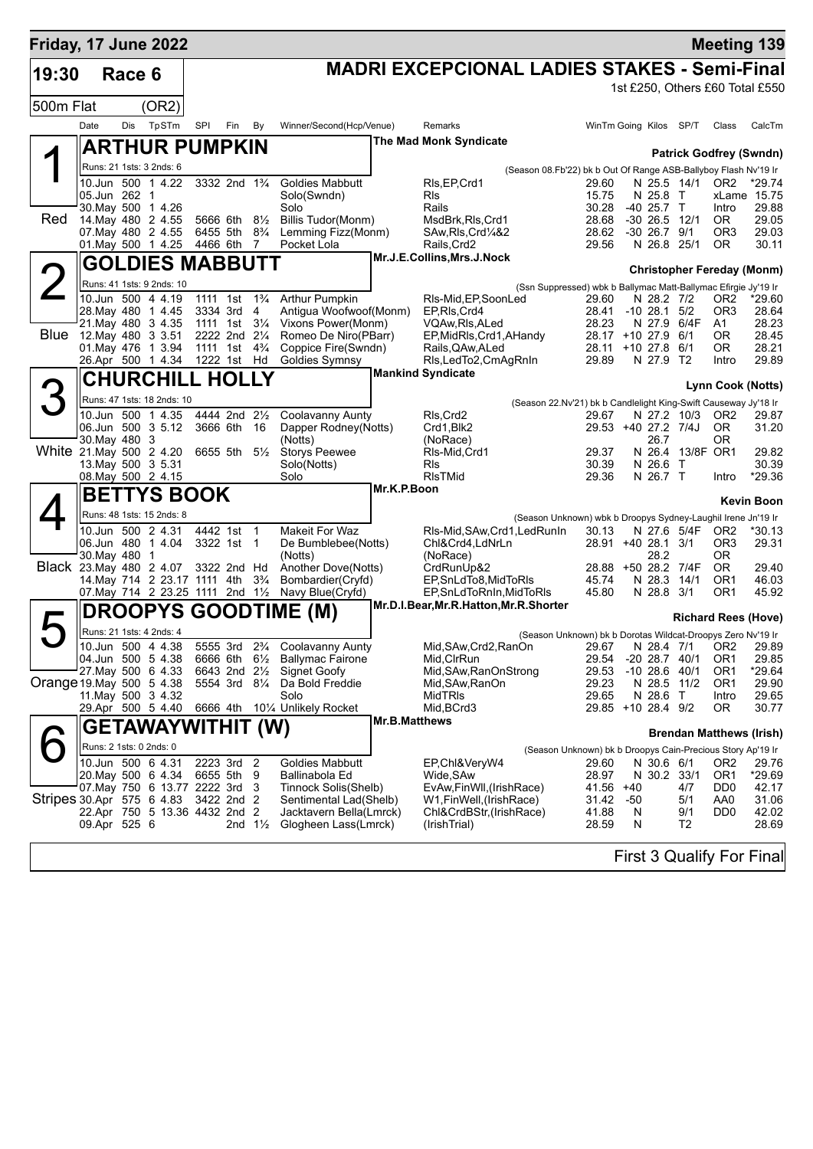| Friday, 17 June 2022      |               |        |                                               |     |                                        |                                  |                                                                                                       |                      |                                                     |                                                                 |                              |          |                                 |                                                          |                                               | <b>Meeting 139</b>              |
|---------------------------|---------------|--------|-----------------------------------------------|-----|----------------------------------------|----------------------------------|-------------------------------------------------------------------------------------------------------|----------------------|-----------------------------------------------------|-----------------------------------------------------------------|------------------------------|----------|---------------------------------|----------------------------------------------------------|-----------------------------------------------|---------------------------------|
| 19:30                     |               | Race 6 |                                               |     |                                        |                                  |                                                                                                       |                      | <b>MADRI EXCEPCIONAL LADIES STAKES - Semi-Final</b> |                                                                 |                              |          |                                 |                                                          |                                               |                                 |
|                           |               |        |                                               |     |                                        |                                  |                                                                                                       |                      |                                                     |                                                                 |                              |          |                                 |                                                          |                                               | 1st £250, Others £60 Total £550 |
| 500m Flat                 |               |        | (OR2)                                         |     |                                        |                                  |                                                                                                       |                      |                                                     |                                                                 |                              |          |                                 |                                                          |                                               |                                 |
|                           | Date          | Dis    | TpSTm                                         | SPI | Fin                                    | By                               | Winner/Second(Hcp/Venue)                                                                              |                      | Remarks                                             |                                                                 | WinTm Going Kilos SP/T       |          |                                 |                                                          | Class                                         | CalcTm                          |
|                           |               |        | <b>ARTHUR PUMPKIN</b>                         |     |                                        |                                  |                                                                                                       |                      | <b>The Mad Monk Syndicate</b>                       |                                                                 |                              |          |                                 |                                                          | <b>Patrick Godfrey (Swndn)</b>                |                                 |
|                           |               |        | Runs: 21 1sts: 3 2nds: 6                      |     |                                        |                                  |                                                                                                       |                      |                                                     | (Season 08.Fb'22) bk b Out Of Range ASB-Ballyboy Flash Nv'19 Ir |                              |          |                                 |                                                          |                                               |                                 |
|                           |               |        | 10.Jun 500 1 4.22                             |     | 3332 2nd 1 <sup>3</sup> / <sub>4</sub> |                                  | Goldies Mabbutt                                                                                       |                      | RIs, EP, Crd1<br><b>R</b> ls                        |                                                                 | 29.60<br>15.75               |          |                                 | N 25.5 14/1                                              | OR2                                           | $*29.74$<br>xLame 15.75         |
|                           | 05.Jun 262 1  |        | 30. May 500 1 4.26                            |     |                                        |                                  | Solo(Swndn)<br>Solo                                                                                   |                      | Rails                                               |                                                                 | 30.28                        |          | N 25.8 T<br>$-40$ 25.7 T        |                                                          | Intro                                         | 29.88                           |
| Red                       |               |        | 14. May 480 2 4.55                            |     | 5666 6th 81/2                          |                                  | <b>Billis Tudor(Monm)</b>                                                                             |                      | MsdBrk, RIs, Crd1                                   |                                                                 | 28.68                        |          |                                 | $-30$ 26.5 12/1                                          | OR.                                           | 29.05                           |
|                           |               |        | 07. May 480 2 4.55<br>01. May 500 1 4.25      |     | 6455 5th<br>4466 6th                   | $8\frac{3}{4}$<br>$\overline{7}$ | Lemming Fizz(Monm)<br>Pocket Lola                                                                     |                      | SAw, RIs, Crd <sup>1</sup> /4&2<br>Rails, Crd2      |                                                                 | 28.62<br>29.56               |          | $-30$ 26.7 $9/1$<br>N 26.8 25/1 |                                                          | OR3<br>OR.                                    | 29.03<br>30.11                  |
|                           |               |        | <b>GOLDIES MABBUTT</b>                        |     |                                        |                                  |                                                                                                       |                      | Mr.J.E.Collins, Mrs.J.Nock                          |                                                                 |                              |          |                                 |                                                          |                                               |                                 |
|                           |               |        | Runs: 41 1sts: 9 2nds: 10                     |     |                                        |                                  |                                                                                                       |                      |                                                     |                                                                 |                              |          |                                 |                                                          | <b>Christopher Fereday (Monm)</b>             |                                 |
|                           |               |        | 10.Jun 500 4 4.19                             |     | 1111 1st                               | $1\frac{3}{4}$                   | <b>Arthur Pumpkin</b>                                                                                 |                      | RIs-Mid, EP, Soon Led                               | (Ssn Suppressed) wbk b Ballymac Matt-Ballymac Efirgie Jy'19 Ir  | 29.60                        |          | N 28.2 7/2                      |                                                          | OR <sub>2</sub>                               | $*29.60$                        |
|                           |               |        | 28. May 480 1 4.45                            |     | 3334 3rd 4                             |                                  | Antigua Woofwoof(Monm)                                                                                |                      | EP, RIs, Crd4                                       |                                                                 | 28.41                        |          | $-10$ 28.1 $5/2$                |                                                          | OR <sub>3</sub>                               | 28.64                           |
|                           |               |        | 21. May 480 3 4.35<br>Blue 12. May 480 3 3.51 |     | 1111 1st<br>2222 2nd 21/4              | $3\frac{1}{4}$                   | Vixons Power(Monm)<br>Romeo De Niro(PBarr)                                                            |                      | VQAw,RIs,ALed<br>EP, MidRIs, Crd1, AHandy           |                                                                 | 28.23<br>28.17 +10 27.9 6/1  |          |                                 | N 27.9 6/4F                                              | A1<br>0R                                      | 28.23<br>28.45                  |
|                           |               |        | 01. May 476 1 3.94                            |     | 1111 1st 4 <sup>3</sup> / <sub>4</sub> |                                  | Coppice Fire(Swndn)                                                                                   |                      | Rails, QAw, ALed                                    |                                                                 | 28.11 +10 27.8               |          |                                 | 6/1                                                      | 0R                                            | 28.21                           |
|                           |               |        | 26.Apr 500 1 4.34                             |     | 1222 1st Hd                            |                                  | <b>Goldies Symnsy</b>                                                                                 |                      | Rls,LedTo2,CmAgRnIn<br><b>Mankind Syndicate</b>     |                                                                 | 29.89                        |          | N 27.9 T2                       |                                                          | Intro                                         | 29.89                           |
|                           |               |        | <b>CHURCHILL HOLLY</b>                        |     |                                        |                                  |                                                                                                       |                      |                                                     |                                                                 |                              |          |                                 |                                                          | Lynn Cook (Notts)                             |                                 |
|                           |               |        | Runs: 47 1sts: 18 2nds: 10                    |     |                                        |                                  |                                                                                                       |                      |                                                     | (Season 22.Nv'21) bk b Candlelight King-Swift Causeway Jy'18 Ir |                              |          |                                 |                                                          |                                               |                                 |
|                           |               |        | 10.Jun 500 1 4.35                             |     | 4444 2nd 21/2                          |                                  | Coolavanny Aunty                                                                                      |                      | RIs, Crd2                                           |                                                                 | 29.67<br>29.53 +40 27.2 7/4J |          |                                 | N 27.2 10/3                                              | OR <sub>2</sub>                               | 29.87                           |
|                           | 30. May 480 3 |        | 06.Jun 500 3 5.12                             |     | 3666 6th 16                            |                                  | Dapper Rodney(Notts)<br>(Notts)                                                                       |                      | Crd1, Blk2<br>(NoRace)                              |                                                                 |                              |          | 26.7                            |                                                          | <b>OR</b><br>0R                               | 31.20                           |
| White 21.May 500 2 4.20   |               |        |                                               |     | 6655 5th 5½                            |                                  | <b>Storys Peewee</b>                                                                                  |                      | RIs-Mid, Crd1                                       |                                                                 | 29.37                        |          |                                 | N 26.4 13/8F OR1                                         |                                               | 29.82                           |
|                           |               |        | 13. May 500 3 5.31<br>08. May 500 2 4.15      |     |                                        |                                  | Solo(Notts)<br>Solo                                                                                   |                      | RIs<br><b>RIsTMid</b>                               |                                                                 | 30.39<br>29.36               |          | N 26.6 T<br>N 26.7 T            |                                                          | Intro                                         | 30.39<br>*29.36                 |
|                           |               |        | <b>BETTYS BOOK</b>                            |     |                                        |                                  |                                                                                                       | Mr.K.P.Boon          |                                                     |                                                                 |                              |          |                                 |                                                          |                                               |                                 |
|                           |               |        | Runs: 48 1sts: 15 2nds: 8                     |     |                                        |                                  |                                                                                                       |                      |                                                     |                                                                 |                              |          |                                 |                                                          |                                               | <b>Kevin Boon</b>               |
|                           |               |        | 10.Jun 500 2 4.31                             |     | 4442 1st 1                             |                                  | <b>Makeit For Waz</b>                                                                                 |                      | RIs-Mid, SAw, Crd1, Led RunIn                       | (Season Unknown) wbk b Droopys Sydney-Laughil Irene Jn'19 Ir    | 30.13                        |          |                                 | N 27.6 5/4F                                              | OR <sub>2</sub>                               | *30.13                          |
|                           |               |        | 06.Jun 480 1 4.04                             |     | 3322 1st 1                             |                                  | De Bumblebee(Notts)                                                                                   |                      | Chl&Crd4,LdNrLn                                     |                                                                 | 28.91 +40 28.1 3/1           |          |                                 |                                                          | OR3                                           | 29.31                           |
| Black 23. May 480 2 4.07  | 30. May 480 1 |        |                                               |     | 3322 2nd Hd                            |                                  | (Notts)<br>Another Dove(Notts)                                                                        |                      | (NoRace)<br>CrdRunUp&2                              |                                                                 | 28.88 +50 28.2 7/4F          |          | 28.2                            |                                                          | 0R<br>OR.                                     | 29.40                           |
|                           |               |        | 14. May 714 2 23.17 1111 4th                  |     |                                        | $3\frac{3}{4}$                   | Bombardier(Cryfd)                                                                                     |                      | EP, SnLdTo8, MidToRIs                               |                                                                 | 45.74                        |          | N 28.3 14/1                     |                                                          | OR1                                           | 46.03                           |
|                           |               |        | 07. May 714 2 23.25 1111 2nd 11/2             |     |                                        |                                  | Navy Blue(Cryfd)                                                                                      |                      | EP, SnLdToRnIn, MidToRIs                            |                                                                 | 45.80                        |          | N 28.8 3/1                      |                                                          | OR1                                           | 45.92                           |
|                           |               |        | <b>DROOPYS</b>                                |     |                                        |                                  | <b>GOODTIME (M)</b>                                                                                   |                      | Mr.D.I.Bear, Mr.R.Hatton, Mr.R.Shorter              |                                                                 |                              |          |                                 |                                                          | <b>Richard Rees (Hove)</b>                    |                                 |
|                           |               |        | Runs: 21 1sts: 4 2nds: 4                      |     |                                        |                                  |                                                                                                       |                      |                                                     | (Season Unknown) bk b Dorotas Wildcat-Droopys Zero Nv'19 Ir     |                              |          |                                 |                                                          |                                               |                                 |
|                           |               |        | 10.Jun 500 4 4.38<br>04.Jun 500 5 4.38        |     |                                        |                                  | 5555 3rd 2 <sup>3</sup> / <sub>4</sub> Coolavanny Aunty<br>6666 6th 61/ <sub>2</sub> Ballymac Fairone |                      | Mid, SAw, Crd2, RanOn<br>Mid, CIrRun                |                                                                 | 29.54                        |          | $-20$ 28.7 $40/1$               |                                                          | 29.67 N 28.4 7/1 OR2 29.89<br>OR <sub>1</sub> | 29.85                           |
|                           |               |        | 27. May 500 6 4.33                            |     | 6643 2nd 21/2                          |                                  | <b>Signet Goofy</b>                                                                                   |                      | Mid, SAw, RanOnStrong                               |                                                                 | 29.53                        |          | $-10$ 28.6 $40/1$               |                                                          | OR1                                           | *29.64                          |
| Orange 19 May 500 5 4.38  |               |        |                                               |     | 5554 3rd 81/4                          |                                  | Da Bold Freddie                                                                                       |                      | Mid, SAw, RanOn                                     |                                                                 | 29.23                        |          | N 28.5                          | 11/2                                                     | OR <sub>1</sub>                               | 29.90                           |
|                           |               |        | 11. May 500 3 4.32<br>29.Apr 500 5 4.40       |     |                                        |                                  | Solo<br>6666 4th 101/4 Unlikely Rocket                                                                |                      | <b>MidTRIs</b><br>Mid, BCrd3                        |                                                                 | 29.65<br>29.85 +10 28.4 9/2  |          | N 28.6 T                        |                                                          | Intro<br>0R                                   | 29.65<br>30.77                  |
|                           |               |        | GETAWAYWITHIT (W)                             |     |                                        |                                  |                                                                                                       | <b>Mr.B.Matthews</b> |                                                     |                                                                 |                              |          |                                 |                                                          |                                               |                                 |
|                           |               |        | Runs: 2 1sts: 0 2nds: 0                       |     |                                        |                                  |                                                                                                       |                      |                                                     |                                                                 |                              |          |                                 |                                                          | <b>Brendan Matthews (Irish)</b>               |                                 |
|                           |               |        | 10.Jun 500 6 4.31                             |     | 2223 3rd                               | $\overline{2}$                   | Goldies Mabbutt                                                                                       |                      | EP,Chl&VeryW4                                       | (Season Unknown) bk b Droopys Cain-Precious Story Ap'19 Ir      | 29.60                        |          | N 30.6 6/1                      |                                                          | OR2                                           | 29.76                           |
|                           |               |        | 20. May 500 6 4.34                            |     | 6655 5th                               | 9                                | Ballinabola Ed                                                                                        |                      | Wide, SAw                                           |                                                                 | 28.97                        |          | N 30.2 33/1                     |                                                          | OR <sub>1</sub>                               | *29.69                          |
|                           |               |        | 07. May 750 6 13.77 2222 3rd                  |     |                                        | 3                                | Tinnock Solis(Shelb)                                                                                  |                      | EvAw, FinWll, (Irish Race)                          |                                                                 | 41.56                        | $+40$    |                                 | 4/7                                                      | DD <sub>0</sub>                               | 42.17                           |
| Stripes 30.Apr 575 6 4.83 |               |        | 22.Apr 750 5 13.36 4432 2nd 2                 |     | 3422 2nd 2                             |                                  | Sentimental Lad(Shelb)<br>Jacktavern Bella(Lmrck)                                                     |                      | W1,FinWell,(IrishRace)<br>Chl&CrdBStr,(IrishRace)   |                                                                 | 31.42<br>41.88               | -50<br>N |                                 | 5/1<br>9/1                                               | AA0<br>DD <sub>0</sub>                        | 31.06<br>42.02                  |
|                           | 09.Apr 525 6  |        |                                               |     |                                        | 2nd $1\frac{1}{2}$               | Glogheen Lass(Lmrck)                                                                                  |                      | (IrishTrial)                                        |                                                                 | 28.59                        | N        |                                 | T2                                                       |                                               | 28.69                           |
|                           |               |        |                                               |     |                                        |                                  |                                                                                                       |                      |                                                     |                                                                 |                              |          |                                 | $\Gamma$ and $\Omega$ $\Gamma$ and $\Gamma$ and $\Gamma$ |                                               |                                 |

First 3 Qualify For Final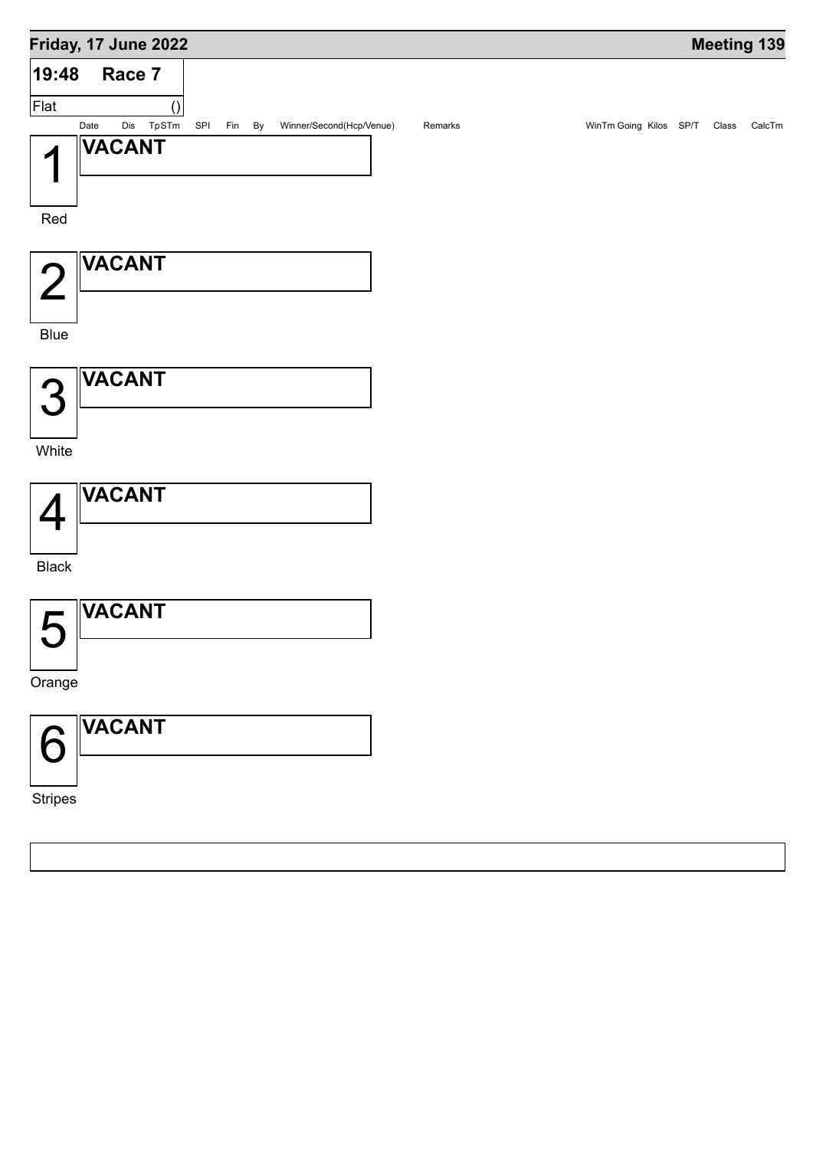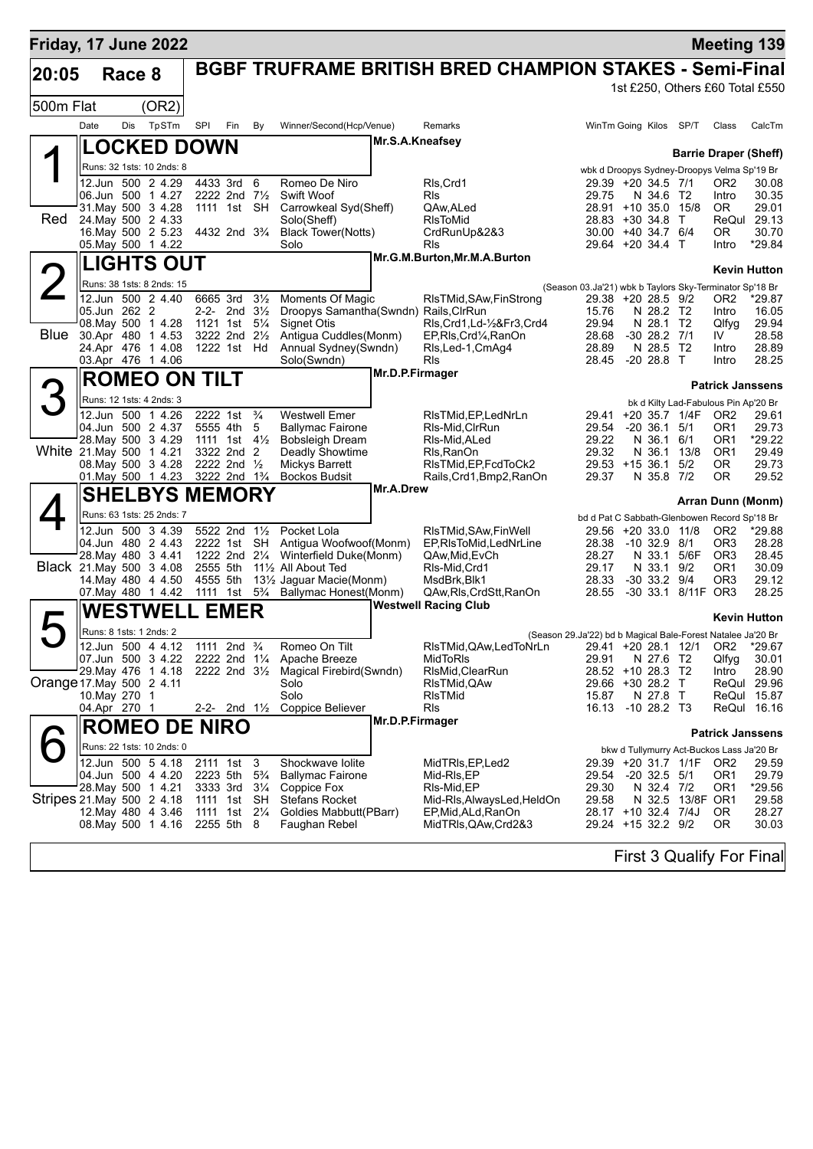| Friday, 17 June 2022       |                         |        |                                                |                      |                                                                  |                |                                                                   |                 |                                                                |                                                                                    |                               |                     | <b>Meeting 139</b>                                           |                      |
|----------------------------|-------------------------|--------|------------------------------------------------|----------------------|------------------------------------------------------------------|----------------|-------------------------------------------------------------------|-----------------|----------------------------------------------------------------|------------------------------------------------------------------------------------|-------------------------------|---------------------|--------------------------------------------------------------|----------------------|
| 20:05                      |                         | Race 8 |                                                |                      |                                                                  |                |                                                                   |                 | <b>BGBF TRUFRAME BRITISH BRED CHAMPION STAKES - Semi-Final</b> |                                                                                    |                               |                     |                                                              |                      |
|                            |                         |        |                                                |                      |                                                                  |                |                                                                   |                 |                                                                |                                                                                    |                               |                     | 1st £250, Others £60 Total £550                              |                      |
| 500m Flat                  |                         |        | (OR2)                                          |                      |                                                                  |                |                                                                   |                 |                                                                |                                                                                    |                               |                     |                                                              |                      |
|                            | Date                    | Dis    | TpSTm                                          | SPI                  | Fin                                                              | By             | Winner/Second(Hcp/Venue)                                          | Mr.S.A.Kneafsey | <b>Remarks</b>                                                 | WinTm Going Kilos SP/T                                                             |                               |                     | Class                                                        | CalcTm               |
|                            | <b>LOCKED DOWN</b>      |        |                                                |                      |                                                                  |                |                                                                   |                 |                                                                |                                                                                    |                               |                     | <b>Barrie Draper (Sheff)</b>                                 |                      |
|                            |                         |        | Runs: 32 1sts: 10 2nds: 8                      |                      |                                                                  |                |                                                                   |                 |                                                                |                                                                                    |                               |                     | wbk d Droopys Sydney-Droopys Velma Sp'19 Br                  |                      |
|                            |                         |        | 12.Jun 500 2 4.29<br>06.Jun 500 1 4.27         |                      | 4433 3rd<br>2222 2nd 71/2                                        | 6              | Romeo De Niro<br>Swift Woof                                       |                 | RIs, Crd1<br>Rls                                               | 29.39 +20 34.5 7/1<br>29.75                                                        | N 34.6 T2                     |                     | OR <sub>2</sub><br>Intro                                     | 30.08<br>30.35       |
|                            |                         |        | 31. May 500 3 4.28                             |                      | 1111 1st SH                                                      |                | Carrowkeal Syd(Sheff)                                             |                 | QAw, ALed                                                      | 28.91 +10 35.0 15/8                                                                |                               |                     | <b>OR</b>                                                    | 29.01                |
| Red                        | 24. May 500 2 4.33      |        | 16. May 500 2 5.23                             |                      | 4432 2nd 3 <sup>3</sup> / <sub>4</sub>                           |                | Solo(Sheff)<br><b>Black Tower(Notts)</b>                          |                 | <b>RIsToMid</b><br>CrdRunUp&2&3                                | 28.83 +30 34.8 T<br>30.00                                                          | +40 34.7 6/4                  |                     | 0R                                                           | ReQul 29.13<br>30.70 |
|                            |                         |        | 05. May 500 1 4.22                             |                      |                                                                  |                | Solo                                                              |                 | Rls                                                            | 29.64 +20 34.4 T                                                                   |                               |                     | Intro                                                        | *29.84               |
|                            |                         |        | <b>LIGHTS OUT</b>                              |                      |                                                                  |                |                                                                   |                 | Mr.G.M.Burton, Mr.M.A.Burton                                   |                                                                                    |                               |                     |                                                              | <b>Kevin Hutton</b>  |
|                            |                         |        | Runs: 38 1sts: 8 2nds: 15                      |                      |                                                                  |                |                                                                   |                 |                                                                | (Season 03.Ja'21) wbk b Taylors Sky-Terminator Sp'18 Br                            |                               |                     |                                                              |                      |
|                            | 05.Jun 262 2            |        | 12.Jun 500 2 4.40                              |                      | 6665 3rd 31/2<br>2-2- 2nd $3\frac{1}{2}$                         |                | <b>Moments Of Magic</b><br>Droopys Samantha (Swndn) Rails, ClrRun |                 | RIsTMid, SAw, FinStrong                                        | 29.38 +20 28.5 9/2<br>15.76                                                        | N 28.2 T2                     |                     | OR <sub>2</sub><br>Intro                                     | $*29.87$<br>16.05    |
|                            |                         |        | 08. May 500 1 4.28                             |                      | 1121 1st 51/4                                                    |                | Signet Otis                                                       |                 | RIs, Crd1, Ld-1/2&Fr3, Crd4                                    | 29.94                                                                              | N 28.1 T2                     |                     | Qlfyg                                                        | 29.94                |
| <b>Blue</b>                |                         |        | 30.Apr 480 1 4.53<br>24.Apr 476 1 4.08         |                      | 3222 2nd 21/2<br>1222 1st Hd                                     |                | Antigua Cuddles(Monm)<br>Annual Sydney(Swndn)                     |                 | EP, RIs, Crd1/4, RanOn<br>RIs, Led-1, CmAq4                    | 28.68<br>28.89                                                                     | $-30$ 28.2 $7/1$<br>N 28.5 T2 |                     | IV<br>Intro                                                  | 28.58<br>28.89       |
|                            |                         |        | 03.Apr 476 1 4.06                              |                      |                                                                  |                | Solo(Swndn)                                                       |                 | RIs                                                            | 28.45                                                                              | $-20, 28.8$ T                 |                     | Intro                                                        | 28.25                |
|                            |                         |        | <b>ROMEO ON TILT</b>                           |                      |                                                                  |                |                                                                   | Mr.D.P.Firmager |                                                                |                                                                                    |                               |                     | <b>Patrick Janssens</b>                                      |                      |
|                            |                         |        | Runs: 12 1sts: 4 2nds: 3                       |                      |                                                                  |                |                                                                   |                 |                                                                |                                                                                    |                               |                     | bk d Kilty Lad-Fabulous Pin Ap'20 Br                         |                      |
|                            |                         |        | 12.Jun 500 1 4.26                              | 2222 1st             |                                                                  | $\frac{3}{4}$  | <b>Westwell Emer</b>                                              |                 | RIsTMid.EP.LedNrLn                                             |                                                                                    |                               | 29.41 +20 35.7 1/4F | OR <sub>2</sub>                                              | 29.61                |
|                            |                         |        | 04.Jun 500 2 4.37<br>28. May 500 3 4.29        |                      | 5555 4th<br>1111 1st $4\frac{1}{2}$                              | 5              | <b>Ballymac Fairone</b><br><b>Bobsleigh Dream</b>                 |                 | RIs-Mid, CIrRun<br>RIs-Mid, ALed                               | 29.54<br>29.22                                                                     | $-20, 36.1$<br>N 36.1         | 5/1<br>6/1          | OR1<br>OR1                                                   | 29.73<br>$*29.22$    |
| White 21.May 500 1 4.21    |                         |        |                                                |                      | 3322 2nd 2                                                       |                | Deadly Showtime                                                   |                 | Rls, RanOn                                                     | 29.32                                                                              | N 36.1                        | 13/8                | OR <sub>1</sub>                                              | 29.49                |
|                            |                         |        | 08. May 500 3 4.28<br>01. May 500 1 4.23       |                      | 2222 2nd $\frac{1}{2}$<br>3222 2nd 1 <sup>3</sup> / <sub>4</sub> |                | Mickys Barrett<br><b>Bockos Budsit</b>                            |                 | RIsTMid, EP, FcdToCk2<br>Rails, Crd1, Bmp2, RanOn              | 29.53 +15 36.1<br>29.37                                                            | N 35.8 7/2                    | 5/2                 | OR.<br>ΟR                                                    | 29.73<br>29.52       |
|                            |                         |        | <b>SHELBYS MEMORY</b>                          |                      |                                                                  |                |                                                                   | Mr.A.Drew       |                                                                |                                                                                    |                               |                     |                                                              |                      |
|                            |                         |        | Runs: 63 1sts: 25 2nds: 7                      |                      |                                                                  |                |                                                                   |                 |                                                                | bd d Pat C Sabbath-Glenbowen Record Sp'18 Br                                       |                               |                     | Arran Dunn (Monm)                                            |                      |
|                            |                         |        | 12.Jun 500 3 4.39                              |                      | 5522 2nd 11/2                                                    |                | Pocket Lola                                                       |                 | RIsTMid, SAw, FinWell                                          | 29.56 +20 33.0 11/8                                                                |                               |                     | OR <sub>2</sub>                                              | *29.88               |
|                            |                         |        | 04.Jun 480 2 4.43<br>28. May 480 3 4.41        |                      | 2222 1st SH<br>1222 2nd 21/4                                     |                | Antigua Woofwoof(Monm)<br>Winterfield Duke(Monm)                  |                 | EP, RIsToMid, LedNrLine<br>QAw,Mid,EvCh                        | 28.38<br>28.27                                                                     | $-10.32.9$<br>N 33.1          | 8/1<br>5/6F         | OR <sub>3</sub><br>OR <sub>3</sub>                           | 28.28<br>28.45       |
| Black 21 May 500 3 4.08    |                         |        |                                                | 2555 5th             |                                                                  |                | 11% All About Ted                                                 |                 | RIs-Mid, Crd1                                                  | 29.17                                                                              | N 33.1                        | 9/2                 | OR1                                                          | 30.09                |
|                            |                         |        | 14 May 480 4 4.50<br>07. May 480 1 4.42        | 4555 5th<br>1111 1st |                                                                  | $5\frac{3}{4}$ | 131/ <sub>2</sub> Jaquar Macie(Monm)<br>Ballymac Honest(Monm)     |                 | MsdBrk.Blk1<br>QAw, Rls, CrdStt, RanOn                         | 28.33<br>28.55                                                                     | $-30, 33.2$<br>$-30$ 33.1     | 9/4<br>8/11F OR3    | OR <sub>3</sub>                                              | 29.12<br>28.25       |
|                            |                         |        | WESTWELI                                       |                      | <b>EMER</b>                                                      |                |                                                                   |                 | <b>Westwell Racing Club</b>                                    |                                                                                    |                               |                     |                                                              |                      |
|                            | Runs: 8 1sts: 1 2nds: 2 |        |                                                |                      |                                                                  |                |                                                                   |                 |                                                                |                                                                                    |                               |                     |                                                              | <b>Kevin Hutton</b>  |
|                            |                         |        | 12.Jun 500 4 4.12                              |                      | 1111 2nd $\frac{3}{4}$                                           |                | Romeo On Tilt                                                     |                 | RIsTMid,QAw,LedToNrLn                                          | (Season 29.Ja'22) bd b Magical Bale-Forest Natalee Ja'20 Br<br>29.41 +20 28.1 12/1 |                               |                     | OR <sub>2</sub>                                              | *29.67               |
|                            |                         |        | 07.Jun 500 3 4.22                              |                      | 2222 2nd 1 <sup>1</sup> / <sub>4</sub>                           |                | Apache Breeze                                                     |                 | MidToRIs                                                       | 29.91                                                                              | N 27.6 T2                     |                     | Qlfyg                                                        | 30.01                |
| Orange 17. May 500 2 4.11  |                         |        | 29. May 476 1 4.18                             |                      | 2222 2nd $3\frac{1}{2}$                                          |                | Magical Firebird(Swndn)<br>Solo                                   |                 | RIsMid, ClearRun<br>RIsTMid,QAw                                | 28.52 +10 28.3 T2<br>29.66 +30 28.2 T                                              |                               |                     | Intro                                                        | 28.90<br>ReQul 29.96 |
|                            | 10. May 270 1           |        |                                                |                      |                                                                  |                | Solo                                                              |                 | RIsTMid                                                        | 15.87                                                                              | N 27.8 T                      |                     |                                                              | ReQul 15.87          |
|                            | 04.Apr 270 1            |        |                                                |                      | 2-2- 2nd $1\frac{1}{2}$                                          |                | Coppice Believer                                                  | Mr.D.P.Firmager | Rls                                                            | 16.13                                                                              | $-1028.2$ T3                  |                     |                                                              | ReQui 16.16          |
|                            |                         |        | <b>ROMEO DE NIRO</b>                           |                      |                                                                  |                |                                                                   |                 |                                                                |                                                                                    |                               |                     | <b>Patrick Janssens</b>                                      |                      |
|                            |                         |        | Runs: 22 1sts: 10 2nds: 0<br>12.Jun 500 5 4.18 |                      | 2111 1st 3                                                       |                | Shockwave Iolite                                                  |                 | MidTRIs, EP, Led 2                                             |                                                                                    |                               | 29.39 +20 31.7 1/1F | bkw d Tullymurry Act-Buckos Lass Ja'20 Br<br>OR <sub>2</sub> | 29.59                |
|                            |                         |        | 04.Jun 500 4 4.20                              |                      | 2223 5th                                                         | $5\frac{3}{4}$ | <b>Ballymac Fairone</b>                                           |                 | Mid-RIs,EP                                                     | 29.54                                                                              | $-20$ 32.5 $5/1$              |                     | OR1                                                          | 29.79                |
| Stripes 21. May 500 2 4.18 |                         |        | 28. May 500 1 4.21                             |                      | 3333 3rd 31/4<br>1111 1st                                        | SH             | Coppice Fox<br>Stefans Rocket                                     |                 | Rls-Mid,EP<br>Mid-Rls, AlwaysLed, HeldOn                       | 29.30<br>29.58                                                                     | N 32.4 7/2<br>N 32.5          | 13/8F OR1           | OR1                                                          | *29.56<br>29.58      |
|                            |                         |        | 12. May 480 4 3.46                             |                      | 1111 1st 21/ <sub>4</sub>                                        |                | Goldies Mabbutt(PBarr)                                            |                 | EP,Mid,ALd,RanOn                                               | 28.17 +10 32.4 7/4J                                                                |                               |                     | 0R                                                           | 28.27                |
|                            |                         |        | 08. May 500 1 4.16                             |                      | 2255 5th 8                                                       |                | Faughan Rebel                                                     |                 | MidTRIs, QAw, Crd2&3                                           | 29.24 +15 32.2 9/2                                                                 |                               |                     | 0R                                                           | 30.03                |
|                            |                         |        |                                                |                      |                                                                  |                |                                                                   |                 |                                                                |                                                                                    |                               |                     |                                                              |                      |

First 3 Qualify For Final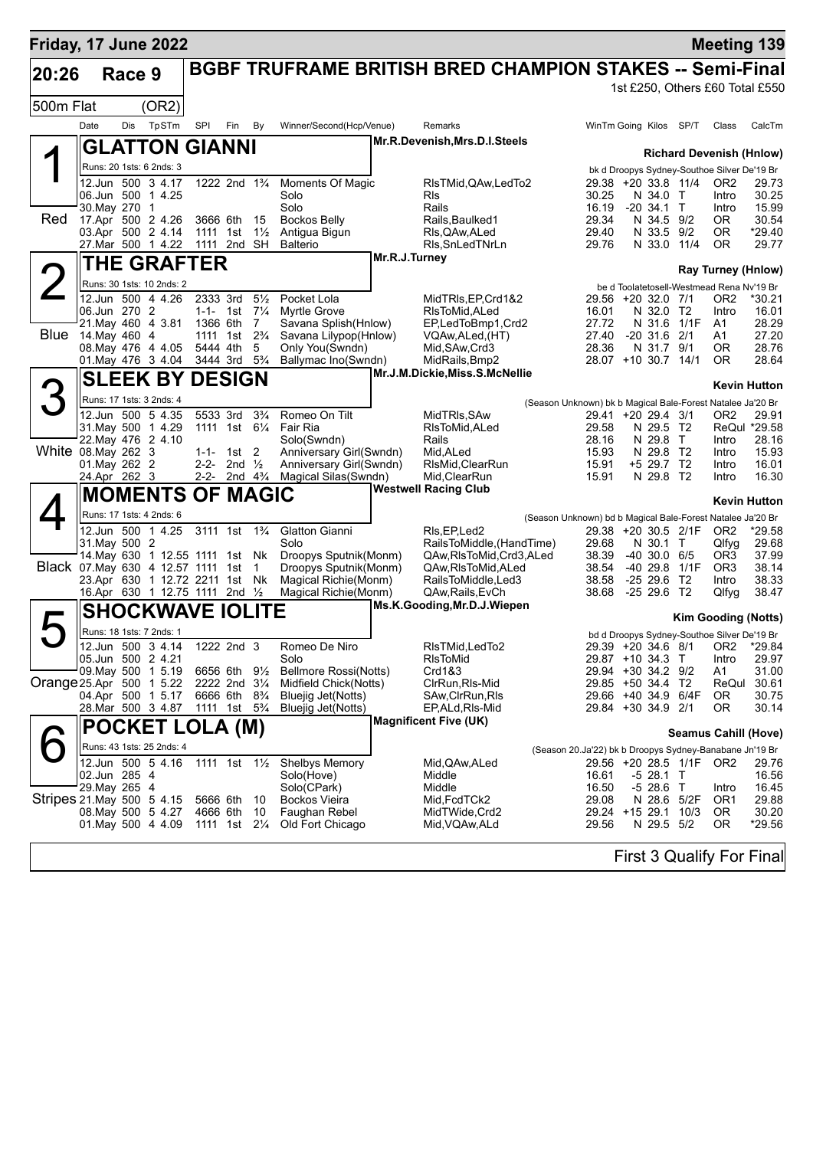| Friday, 17 June 2022      |      |                                                                   |       |                                                    |                   |                |                                                 |               |                                                                 |                                                            |  |                                 |                         |                                             | <b>Meeting 139</b>                     |
|---------------------------|------|-------------------------------------------------------------------|-------|----------------------------------------------------|-------------------|----------------|-------------------------------------------------|---------------|-----------------------------------------------------------------|------------------------------------------------------------|--|---------------------------------|-------------------------|---------------------------------------------|----------------------------------------|
| 20:26                     |      | Race 9                                                            |       |                                                    |                   |                |                                                 |               | <b>BGBF TRUFRAME BRITISH BRED CHAMPION STAKES -- Semi-Final</b> |                                                            |  |                                 |                         |                                             |                                        |
|                           |      |                                                                   |       |                                                    |                   |                |                                                 |               |                                                                 |                                                            |  |                                 |                         |                                             | 1st £250, Others £60 Total £550        |
| 500m Flat                 |      |                                                                   | (OR2) |                                                    |                   |                |                                                 |               |                                                                 |                                                            |  |                                 |                         |                                             |                                        |
|                           | Date | Dis                                                               | TpSTm | SPI                                                | Fin               | By             | Winner/Second(Hcp/Venue)                        |               | Remarks                                                         |                                                            |  | WinTm Going Kilos SP/T          |                         | Class                                       | CalcTm                                 |
|                           |      | <b>GLATTON GIANNI</b>                                             |       |                                                    |                   |                |                                                 |               | Mr.R.Devenish, Mrs.D.I.Steels                                   |                                                            |  |                                 |                         |                                             |                                        |
|                           |      |                                                                   |       |                                                    |                   |                |                                                 |               |                                                                 |                                                            |  |                                 |                         |                                             | <b>Richard Devenish (Hnlow)</b>        |
|                           |      | Runs: 20 1sts: 6 2nds: 3                                          |       |                                                    |                   |                |                                                 |               |                                                                 |                                                            |  |                                 |                         | bk d Droopys Sydney-Southoe Silver De'19 Br |                                        |
|                           |      | 12.Jun 500 3 4.17<br>06.Jun 500 1 4.25                            |       | 1222 2nd 1 <sup>3</sup> / <sub>4</sub>             |                   |                | Moments Of Magic<br>Solo                        |               | RIsTMid, QAw, LedTo2<br>Rls                                     | 30.25                                                      |  | N 34.0 T                        | 29.38 +20 33.8 11/4     | OR <sub>2</sub><br>Intro                    | 29.73<br>30.25                         |
|                           |      | 30. May 270 1                                                     |       |                                                    |                   |                | Solo                                            |               | Rails                                                           | 16.19                                                      |  | $-20,34.1$ T                    |                         | Intro                                       | 15.99                                  |
| Red                       |      | 17.Apr 500 2 4.26                                                 |       | 3666 6th                                           |                   | - 15           | <b>Bockos Belly</b>                             |               | Rails.Baulked1                                                  | 29.34                                                      |  | N 34.5 9/2                      |                         | OR.                                         | 30.54                                  |
|                           |      | 03.Apr 500 2 4.14<br>27.Mar 500 1 4.22                            |       | 1111 1st<br>1111 2nd SH                            |                   | $1\frac{1}{2}$ | Antigua Bigun<br><b>Balterio</b>                |               | RIs, QAw, ALed<br>RIs, SnLed TNrLn                              | 29.40<br>29.76                                             |  | N 33.5 9/2                      | N 33.0 11/4             | 0R.<br><b>OR</b>                            | $*29.40$<br>29.77                      |
|                           |      |                                                                   |       |                                                    |                   |                |                                                 | Mr.R.J.Turney |                                                                 |                                                            |  |                                 |                         |                                             |                                        |
|                           |      | <b>THE GRAFTER</b>                                                |       |                                                    |                   |                |                                                 |               |                                                                 |                                                            |  |                                 |                         |                                             | <b>Ray Turney (Hnlow)</b>              |
|                           |      | Runs: 30 1sts: 10 2nds: 2                                         |       |                                                    |                   |                |                                                 |               |                                                                 |                                                            |  |                                 |                         | be d Toolatetosell-Westmead Rena Nv'19 Br   |                                        |
|                           |      | 12.Jun 500 4 4.26<br>06.Jun 270 2                                 |       | 2333 3rd<br>1-1- 1st $7\frac{1}{4}$                |                   | $5\frac{1}{2}$ | Pocket Lola<br><b>Myrtle Grove</b>              |               | MidTRIs, EP, Crd1&2<br>RIsToMid, ALed                           | 16.01                                                      |  | 29.56 +20 32.0 7/1<br>N 32.0 T2 |                         | OR <sub>2</sub><br>Intro                    | *30.21<br>16.01                        |
|                           |      | 21. May 460 4 3.81                                                |       | 1366 6th                                           |                   | $\overline{7}$ | Savana Splish (Hnlow)                           |               | EP,LedToBmp1,Crd2                                               | 27.72                                                      |  |                                 | N 31.6 1/1F             | A1                                          | 28.29                                  |
| Blue                      |      | 14.May 460 4                                                      |       | 1111 1st                                           |                   | $2\frac{3}{4}$ | Savana Lilypop(Hnlow)                           |               | VQAw,ALed,(HT)                                                  | 27.40                                                      |  | $-20, 31.6$                     | 2/1                     | A1                                          | 27.20                                  |
|                           |      | 08. May 476 4 4.05<br>01. May 476 3 4.04                          |       | 5444 4th<br>3444 3rd 5 <sup>3</sup> / <sub>4</sub> |                   | 5              | Only You(Swndn)<br>Ballymac Ino(Swndn)          |               | Mid, SAw, Crd3<br>MidRails, Bmp2                                | 28.36                                                      |  | N 31.7 9/1                      | 28.07 +10 30.7 14/1     | 0R<br><b>OR</b>                             | 28.76<br>28.64                         |
|                           |      |                                                                   |       |                                                    |                   |                |                                                 |               | Mr.J.M.Dickie, Miss.S.McNellie                                  |                                                            |  |                                 |                         |                                             |                                        |
|                           |      | <b>SLEEK BY DESIGN</b>                                            |       |                                                    |                   |                |                                                 |               |                                                                 |                                                            |  |                                 |                         |                                             | <b>Kevin Hutton</b>                    |
|                           |      | Runs: 17 1sts: 3 2nds: 4                                          |       |                                                    |                   |                |                                                 |               |                                                                 | (Season Unknown) bk b Magical Bale-Forest Natalee Ja'20 Br |  |                                 |                         |                                             |                                        |
|                           |      | 12.Jun 500 5 4.35<br>31. May 500 1 4.29                           |       | 5533 3rd<br>1111 1st 61/4                          |                   | $3\frac{3}{4}$ | Romeo On Tilt<br>Fair Ria                       |               | MidTRIs, SAw<br>RIsToMid.ALed                                   |                                                            |  | 29.41 +20 29.4 3/1              |                         | OR <sub>2</sub>                             | 29.91                                  |
|                           |      | 22. May 476 2 4.10                                                |       |                                                    |                   |                | Solo(Swndn)                                     |               | Rails                                                           | 29.58<br>28.16                                             |  | N 29.5 T2<br>N 29.8 T           |                         | Intro                                       | ReQul *29.58<br>28.16                  |
| White 08. May 262 3       |      |                                                                   |       | $1-1-1$ st 2                                       |                   |                | Anniversary Girl(Swndn)                         |               | Mid, ALed                                                       | 15.93                                                      |  | N 29.8 T2                       |                         | Intro                                       | 15.93                                  |
|                           |      | 01. May 262 2<br>24.Apr 262 3                                     |       | $2 - 2 -$<br>2-2- 2nd $4\frac{3}{4}$               | 2nd $\frac{1}{2}$ |                | Anniversary Girl(Swndn)<br>Magical Silas(Swndn) |               | RIsMid, ClearRun<br>Mid, ClearRun                               | 15.91<br>15.91                                             |  | +5 29.7 T2<br>N 29.8 T2         |                         | Intro<br>Intro                              | 16.01<br>16.30                         |
|                           |      |                                                                   |       |                                                    |                   |                |                                                 |               | <b>Westwell Racing Club</b>                                     |                                                            |  |                                 |                         |                                             |                                        |
|                           |      | <b>MOMENTS OF MAGIC</b>                                           |       |                                                    |                   |                |                                                 |               |                                                                 |                                                            |  |                                 |                         |                                             | <b>Kevin Hutton</b>                    |
|                           |      | Runs: 17 1sts: 4 2nds: 6                                          |       |                                                    |                   |                |                                                 |               |                                                                 | (Season Unknown) bd b Magical Bale-Forest Natalee Ja'20 Br |  |                                 |                         |                                             |                                        |
|                           |      | 12.Jun 500 1 4.25<br>31. May 500 2                                |       | 3111 1st 1 <sup>3</sup> / <sub>4</sub>             |                   |                | <b>Glatton Gianni</b><br>Solo                   |               | RIs, EP, Led2<br>RailsToMiddle, (HandTime)                      | 29.68                                                      |  | N 30.1 T                        | 29.38 +20 30.5 2/1F     | OR <sub>2</sub><br>Qlfyg                    | *29.58<br>29.68                        |
|                           |      | 14. May 630 1 12.55 1111 1st Nk                                   |       |                                                    |                   |                | Droopys Sputnik(Monm)                           |               | QAw, RIs To Mid, Crd3, ALed                                     | 38.39                                                      |  | $-40,30.0,6/5$                  |                         | OR3                                         | 37.99                                  |
|                           |      | Black 07. May 630 4 12.57 1111 1st 1                              |       |                                                    |                   |                | Droopys Sputnik(Monm)                           |               | QAw, RIs To Mid, ALed                                           | 38.54                                                      |  |                                 | -40 29.8 1/1F           | OR <sub>3</sub>                             | 38.14                                  |
|                           |      | 23.Apr 630 1 12.72 2211 1st Nk<br>16.Apr 630 1 12.75 1111 2nd 1/2 |       |                                                    |                   |                | Magical Richie (Monm)<br>Magical Richie(Monm)   |               | RailsToMiddle,Led3<br>QAw, Rails, EvCh                          | 38.58<br>38.68                                             |  | $-2529.6$ T2<br>$-2529.6$ T2    |                         | Intro<br>Qlfyg                              | 38.33<br>38.47                         |
|                           |      |                                                                   |       |                                                    |                   |                |                                                 |               | Ms.K.Gooding, Mr.D.J.Wiepen                                     |                                                            |  |                                 |                         |                                             |                                        |
|                           |      | <b>SHOCKWAVE IOLITE</b>                                           |       |                                                    |                   |                |                                                 |               |                                                                 |                                                            |  |                                 |                         |                                             | <b>Kim Gooding (Notts)</b>             |
|                           |      | Runs: 18 1sts: 7 2nds: 1                                          |       |                                                    |                   |                |                                                 |               |                                                                 |                                                            |  |                                 |                         | bd d Droopys Sydney-Southoe Silver De'19 Br |                                        |
|                           |      | 12.Jun 500 3 4.14<br>05.Jun 500 2 4.21                            |       | 1222 2nd $3$                                       |                   |                | Romeo De Niro<br>Solo                           |               | RIsTMid, LedTo2<br>RIsToMid                                     |                                                            |  | 29.87 +10 34.3 T                |                         | Intro                                       | 29.39 +20 34.6 8/1 OR2 *29.84<br>29.97 |
|                           |      | 09 May 500 1 5.19                                                 |       | 6656 6th 9½                                        |                   |                | <b>Bellmore Rossi(Notts)</b>                    |               | Crd1&3                                                          |                                                            |  | 29.94 +30 34.2 9/2              |                         | A1                                          | 31.00                                  |
| Orange 25.Apr 500 1 5.22  |      |                                                                   |       | 2222 2nd 3 <sup>1</sup> / <sub>4</sub>             |                   |                | Midfield Chick(Notts)                           |               | ClrRun, RIs-Mid                                                 |                                                            |  | 29.85 +50 34.4 T2               |                         | ReQul                                       | 30.61                                  |
|                           |      | 04.Apr 500 1 5.17<br>28. Mar 500 3 4.87                           |       | 6666 6th<br>1111 1st 5 <sup>3</sup> / <sub>4</sub> |                   | $8\frac{3}{4}$ | Bluejig Jet(Notts)<br><b>Bluejig Jet(Notts)</b> |               | SAw,ClrRun,RIs<br>EP,ALd,RIs-Mid                                |                                                            |  | 29.84 +30 34.9 2/1              | 29.66 +40 34.9 6/4F     | 0R<br>0R                                    | 30.75<br>30.14                         |
|                           |      |                                                                   |       |                                                    |                   |                |                                                 |               | <b>Magnificent Five (UK)</b>                                    |                                                            |  |                                 |                         |                                             |                                        |
|                           |      | POCKET LOLA (M)                                                   |       |                                                    |                   |                |                                                 |               |                                                                 |                                                            |  |                                 |                         |                                             | <b>Seamus Cahill (Hove)</b>            |
|                           |      | Runs: 43 1sts: 25 2nds: 4                                         |       |                                                    |                   |                |                                                 |               |                                                                 | (Season 20.Ja'22) bk b Droopys Sydney-Banabane Jn'19 Br    |  |                                 |                         |                                             |                                        |
|                           |      | 12.Jun 500 5 4.16                                                 |       | 1111 1st 11/ <sub>2</sub>                          |                   |                | <b>Shelbys Memory</b>                           |               | Mid,QAw,ALed                                                    |                                                            |  |                                 | 29.56 +20 28.5 1/1F OR2 |                                             | 29.76                                  |
|                           |      | 02.Jun 285 4<br>29.May 265 4                                      |       |                                                    |                   |                | Solo(Hove)<br>Solo(CPark)                       |               | Middle<br>Middle                                                | 16.61<br>16.50                                             |  | -5 28.1 T<br>-5 28.6 T          |                         | Intro                                       | 16.56<br>16.45                         |
| Stripes 21 May 500 5 4.15 |      |                                                                   |       | 5666 6th                                           |                   | - 10           | <b>Bockos Vieira</b>                            |               | Mid, FcdTCk2                                                    | 29.08                                                      |  |                                 | N 28.6 5/2F             | OR <sub>1</sub>                             | 29.88                                  |
|                           |      | 08. May 500 5 4.27                                                |       | 4666 6th                                           |                   | 10             | Faughan Rebel                                   |               | MidTWide,Crd2                                                   |                                                            |  |                                 | 29.24 +15 29.1 10/3     | 0R                                          | 30.20                                  |
|                           |      | 01. May 500 4 4.09                                                |       | 1111 1st 21/ <sub>4</sub>                          |                   |                | Old Fort Chicago                                |               | Mid, VQAw, ALd                                                  | 29.56                                                      |  | N 29.5 5/2                      |                         | 0R                                          | *29.56                                 |
|                           |      |                                                                   |       |                                                    |                   |                |                                                 |               |                                                                 |                                                            |  |                                 |                         |                                             |                                        |

First 3 Qualify For Final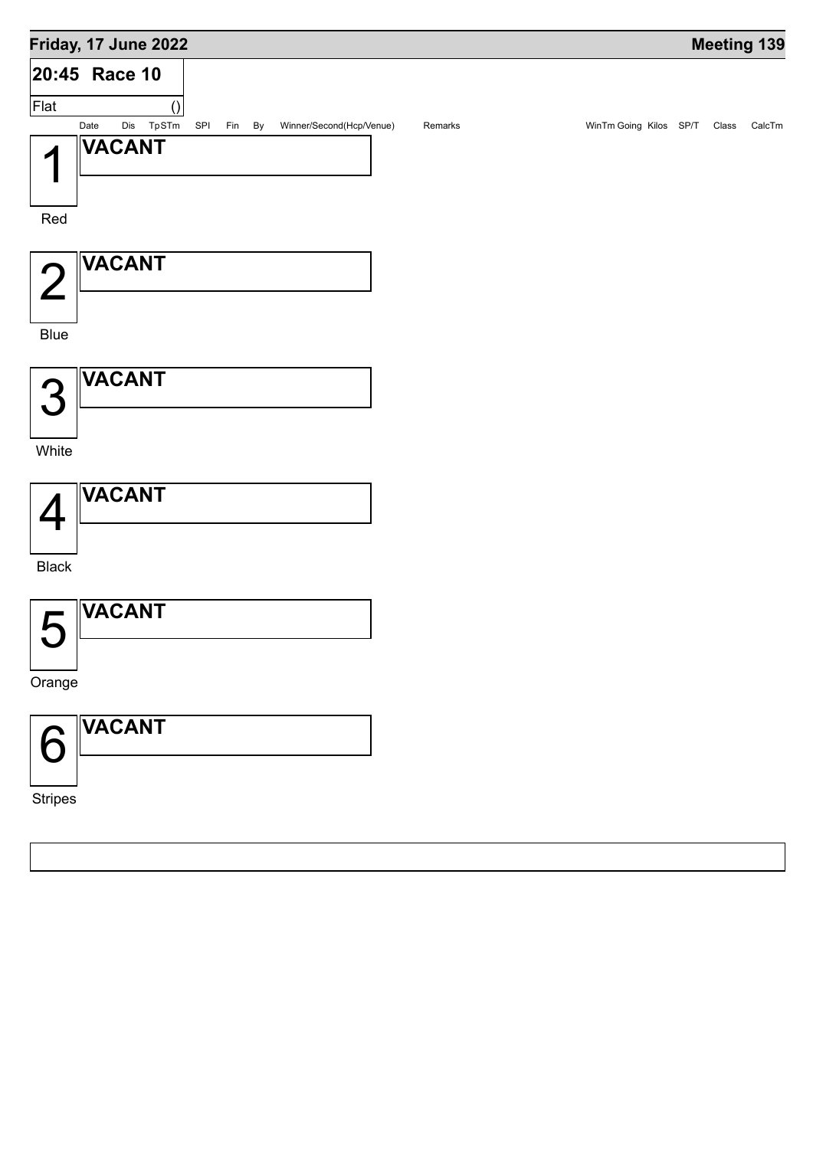## **Friday, 17 June 2022 Meeting 139 Race 10 20:45** () Flat Date Dis TpSTm SPI Fin By Winner/Second(Hcp/Venue) Remarks WinTm Going Kilos SP/T Class CalcTm 1 Red **VACANT** 2 Blue **VACANT** 3 **White VACANT** 4 Black **VACANT** 5 Orange **VACANT** 6 **VACANT**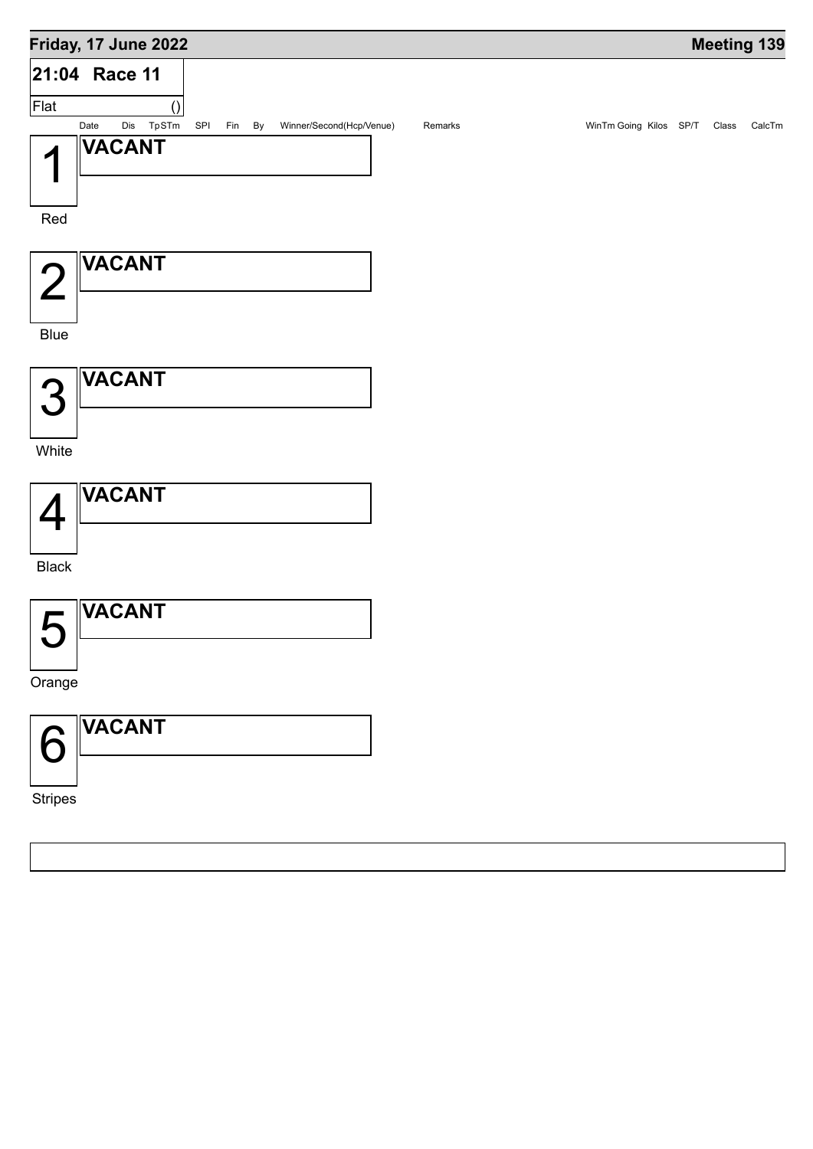![](_page_10_Figure_0.jpeg)